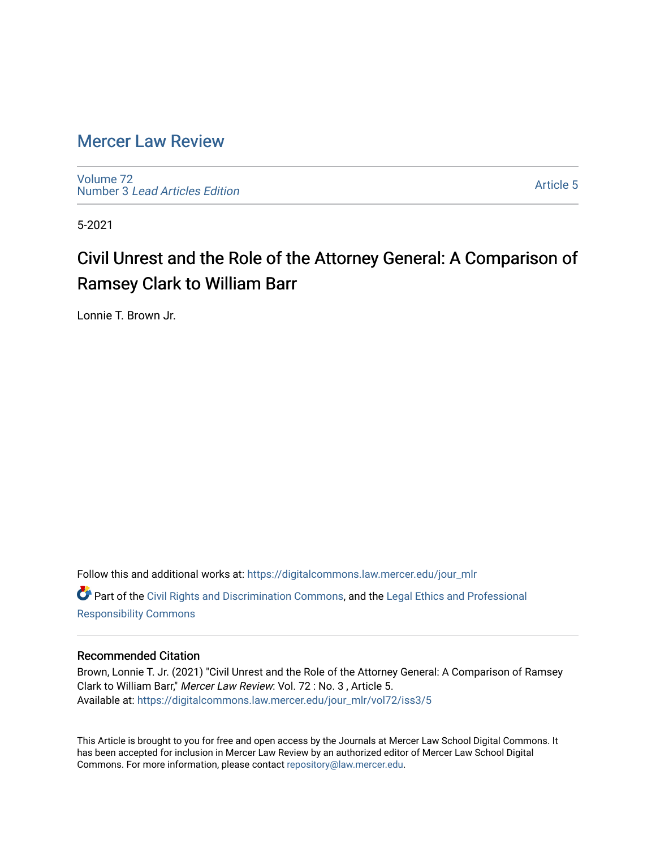## [Mercer Law Review](https://digitalcommons.law.mercer.edu/jour_mlr)

[Volume 72](https://digitalcommons.law.mercer.edu/jour_mlr/vol72) Number 3 [Lead Articles Edition](https://digitalcommons.law.mercer.edu/jour_mlr/vol72/iss3)

[Article 5](https://digitalcommons.law.mercer.edu/jour_mlr/vol72/iss3/5) 

5-2021

# Civil Unrest and the Role of the Attorney General: A Comparison of Ramsey Clark to William Barr

Lonnie T. Brown Jr.

Follow this and additional works at: [https://digitalcommons.law.mercer.edu/jour\\_mlr](https://digitalcommons.law.mercer.edu/jour_mlr?utm_source=digitalcommons.law.mercer.edu%2Fjour_mlr%2Fvol72%2Fiss3%2F5&utm_medium=PDF&utm_campaign=PDFCoverPages) Part of the [Civil Rights and Discrimination Commons,](http://network.bepress.com/hgg/discipline/585?utm_source=digitalcommons.law.mercer.edu%2Fjour_mlr%2Fvol72%2Fiss3%2F5&utm_medium=PDF&utm_campaign=PDFCoverPages) and the [Legal Ethics and Professional](http://network.bepress.com/hgg/discipline/895?utm_source=digitalcommons.law.mercer.edu%2Fjour_mlr%2Fvol72%2Fiss3%2F5&utm_medium=PDF&utm_campaign=PDFCoverPages) [Responsibility Commons](http://network.bepress.com/hgg/discipline/895?utm_source=digitalcommons.law.mercer.edu%2Fjour_mlr%2Fvol72%2Fiss3%2F5&utm_medium=PDF&utm_campaign=PDFCoverPages) 

### Recommended Citation

Brown, Lonnie T. Jr. (2021) "Civil Unrest and the Role of the Attorney General: A Comparison of Ramsey Clark to William Barr," Mercer Law Review: Vol. 72 : No. 3 , Article 5. Available at: [https://digitalcommons.law.mercer.edu/jour\\_mlr/vol72/iss3/5](https://digitalcommons.law.mercer.edu/jour_mlr/vol72/iss3/5?utm_source=digitalcommons.law.mercer.edu%2Fjour_mlr%2Fvol72%2Fiss3%2F5&utm_medium=PDF&utm_campaign=PDFCoverPages)

This Article is brought to you for free and open access by the Journals at Mercer Law School Digital Commons. It has been accepted for inclusion in Mercer Law Review by an authorized editor of Mercer Law School Digital Commons. For more information, please contact [repository@law.mercer.edu.](mailto:repository@law.mercer.edu)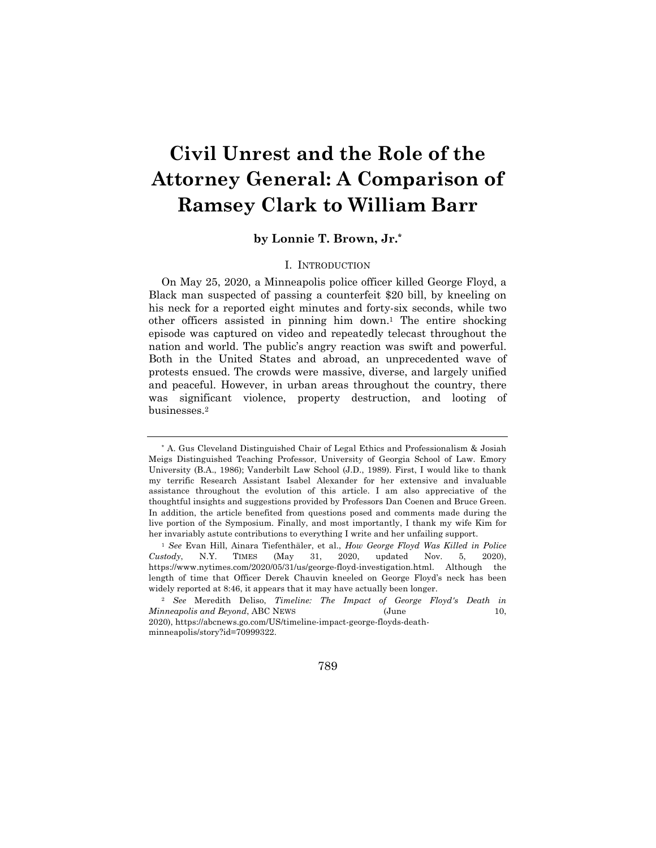# **Civil Unrest and the Role of the Attorney General: A Comparison of Ramsey Clark to William Barr**

### **by Lonnie T. Brown, Jr.\***

#### I. INTRODUCTION

On May 25, 2020, a Minneapolis police officer killed George Floyd, a Black man suspected of passing a counterfeit \$20 bill, by kneeling on his neck for a reported eight minutes and forty-six seconds, while two other officers assisted in pinning him down.1 The entire shocking episode was captured on video and repeatedly telecast throughout the nation and world. The public's angry reaction was swift and powerful. Both in the United States and abroad, an unprecedented wave of protests ensued. The crowds were massive, diverse, and largely unified and peaceful. However, in urban areas throughout the country, there was significant violence, property destruction, and looting of businesses.2

789

<sup>\*</sup> A. Gus Cleveland Distinguished Chair of Legal Ethics and Professionalism & Josiah Meigs Distinguished Teaching Professor, University of Georgia School of Law. Emory University (B.A., 1986); Vanderbilt Law School (J.D., 1989). First, I would like to thank my terrific Research Assistant Isabel Alexander for her extensive and invaluable assistance throughout the evolution of this article. I am also appreciative of the thoughtful insights and suggestions provided by Professors Dan Coenen and Bruce Green. In addition, the article benefited from questions posed and comments made during the live portion of the Symposium. Finally, and most importantly, I thank my wife Kim for her invariably astute contributions to everything I write and her unfailing support.

<sup>1</sup> *See* Evan Hill, Ainara Tiefenthäler, et al., *How George Floyd Was Killed in Police Custody*, N.Y. TIMES (May 31, 2020, updated Nov. 5, 2020), https://www.nytimes.com/2020/05/31/us/george-floyd-investigation.html. Although the length of time that Officer Derek Chauvin kneeled on George Floyd's neck has been widely reported at 8:46, it appears that it may have actually been longer.

<sup>2</sup> *See* Meredith Deliso, *Timeline: The Impact of George Floyd's Death in Minneapolis and Beyond*, ABC NEWS (June 10, 2020), https://abcnews.go.com/US/timeline-impact-george-floyds-deathminneapolis/story?id=70999322.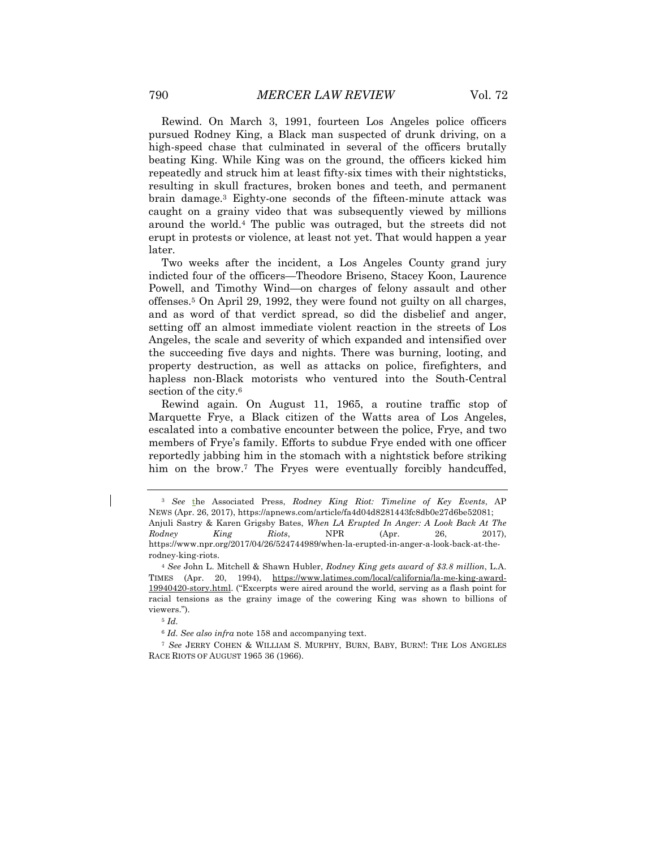Rewind. On March 3, 1991, fourteen Los Angeles police officers pursued Rodney King, a Black man suspected of drunk driving, on a high-speed chase that culminated in several of the officers brutally beating King. While King was on the ground, the officers kicked him repeatedly and struck him at least fifty-six times with their nightsticks, resulting in skull fractures, broken bones and teeth, and permanent brain damage.3 Eighty-one seconds of the fifteen-minute attack was caught on a grainy video that was subsequently viewed by millions around the world.4 The public was outraged, but the streets did not erupt in protests or violence, at least not yet. That would happen a year later.

Two weeks after the incident, a Los Angeles County grand jury indicted four of the officers—Theodore Briseno, Stacey Koon, Laurence Powell, and Timothy Wind—on charges of felony assault and other offenses.5 On April 29, 1992, they were found not guilty on all charges, and as word of that verdict spread, so did the disbelief and anger, setting off an almost immediate violent reaction in the streets of Los Angeles, the scale and severity of which expanded and intensified over the succeeding five days and nights. There was burning, looting, and property destruction, as well as attacks on police, firefighters, and hapless non-Black motorists who ventured into the South-Central section of the city.6

Rewind again. On August 11, 1965, a routine traffic stop of Marquette Frye, a Black citizen of the Watts area of Los Angeles, escalated into a combative encounter between the police, Frye, and two members of Frye's family. Efforts to subdue Frye ended with one officer reportedly jabbing him in the stomach with a nightstick before striking him on the brow.<sup>7</sup> The Fryes were eventually forcibly handcuffed,

<sup>6</sup> *Id. See also infra* note 158 and accompanying text.

<sup>3</sup> *See* the Associated Press, *Rodney King Riot: Timeline of Key Events*, AP NEWS (Apr. 26, 2017), https://apnews.com/article/fa4d04d8281443fc8db0e27d6be52081; Anjuli Sastry & Karen Grigsby Bates, *When LA Erupted In Anger: A Look Back At The Rodney King Riots*, NPR (Apr. 26, 2017), https://www.npr.org/2017/04/26/524744989/when-la-erupted-in-anger-a-look-back-at-therodney-king-riots.

<sup>4</sup> *See* John L. Mitchell & Shawn Hubler, *Rodney King gets award of \$3.8 million*, L.A. TIMES (Apr. 20, 1994), https://www.latimes.com/local/california/la-me-king-award-19940420-story.html. ("Excerpts were aired around the world, serving as a flash point for racial tensions as the grainy image of the cowering King was shown to billions of viewers.").

<sup>5</sup> *Id.*

<sup>7</sup> *See* JERRY COHEN & WILLIAM S. MURPHY, BURN, BABY, BURN!: THE LOS ANGELES RACE RIOTS OF AUGUST 1965 36 (1966).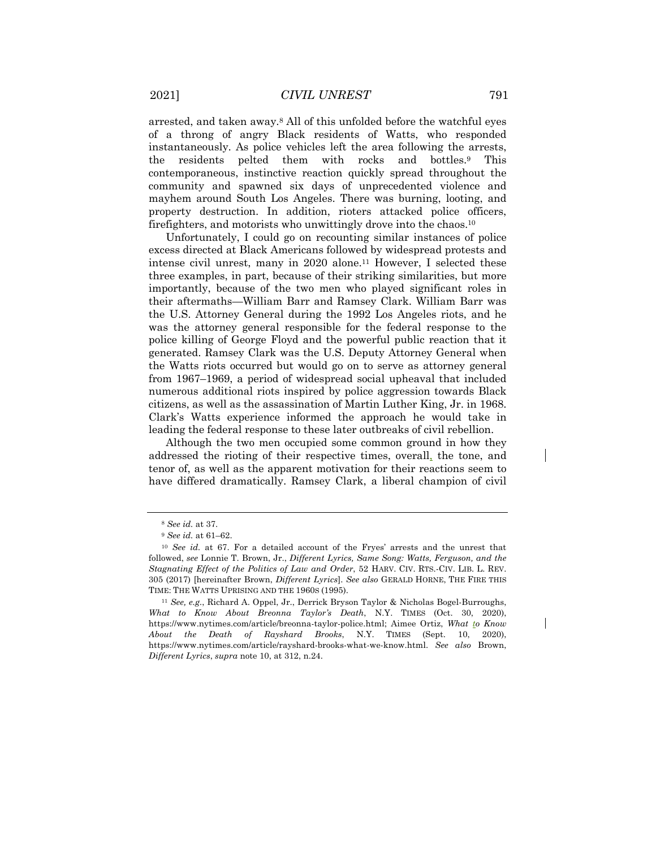arrested, and taken away.8 All of this unfolded before the watchful eyes of a throng of angry Black residents of Watts, who responded instantaneously. As police vehicles left the area following the arrests, the residents pelted them with rocks and bottles.9 This contemporaneous, instinctive reaction quickly spread throughout the community and spawned six days of unprecedented violence and mayhem around South Los Angeles. There was burning, looting, and property destruction. In addition, rioters attacked police officers, firefighters, and motorists who unwittingly drove into the chaos.10

Unfortunately, I could go on recounting similar instances of police excess directed at Black Americans followed by widespread protests and intense civil unrest, many in 2020 alone.11 However, I selected these three examples, in part, because of their striking similarities, but more importantly, because of the two men who played significant roles in their aftermaths—William Barr and Ramsey Clark. William Barr was the U.S. Attorney General during the 1992 Los Angeles riots, and he was the attorney general responsible for the federal response to the police killing of George Floyd and the powerful public reaction that it generated. Ramsey Clark was the U.S. Deputy Attorney General when the Watts riots occurred but would go on to serve as attorney general from 1967–1969, a period of widespread social upheaval that included numerous additional riots inspired by police aggression towards Black citizens, as well as the assassination of Martin Luther King, Jr. in 1968. Clark's Watts experience informed the approach he would take in leading the federal response to these later outbreaks of civil rebellion.

Although the two men occupied some common ground in how they addressed the rioting of their respective times, overall, the tone, and tenor of, as well as the apparent motivation for their reactions seem to have differed dramatically. Ramsey Clark, a liberal champion of civil

<sup>8</sup> *See id.* at 37.

<sup>9</sup> *See id.* at 61–62.

<sup>10</sup> *See id.* at 67. For a detailed account of the Fryes' arrests and the unrest that followed, *see* Lonnie T. Brown, Jr., *Different Lyrics, Same Song: Watts, Ferguson, and the Stagnating Effect of the Politics of Law and Order*, 52 HARV. CIV. RTS.-CIV. LIB. L. REV. 305 (2017) [hereinafter Brown, *Different Lyrics*]. *See also* GERALD HORNE, THE FIRE THIS TIME: THE WATTS UPRISING AND THE 1960S (1995).

<sup>11</sup> *See, e.g.*, Richard A. Oppel, Jr., Derrick Bryson Taylor & Nicholas Bogel-Burroughs, *What to Know About Breonna Taylor's Death*, N.Y. TIMES (Oct. 30, 2020), https://www.nytimes.com/article/breonna-taylor-police.html; Aimee Ortiz, *What to Know About the Death of Rayshard Brooks*, N.Y. TIMES (Sept. 10, 2020), https://www.nytimes.com/article/rayshard-brooks-what-we-know.html. *See also* Brown, *Different Lyrics*, *supra* note 10, at 312, n.24.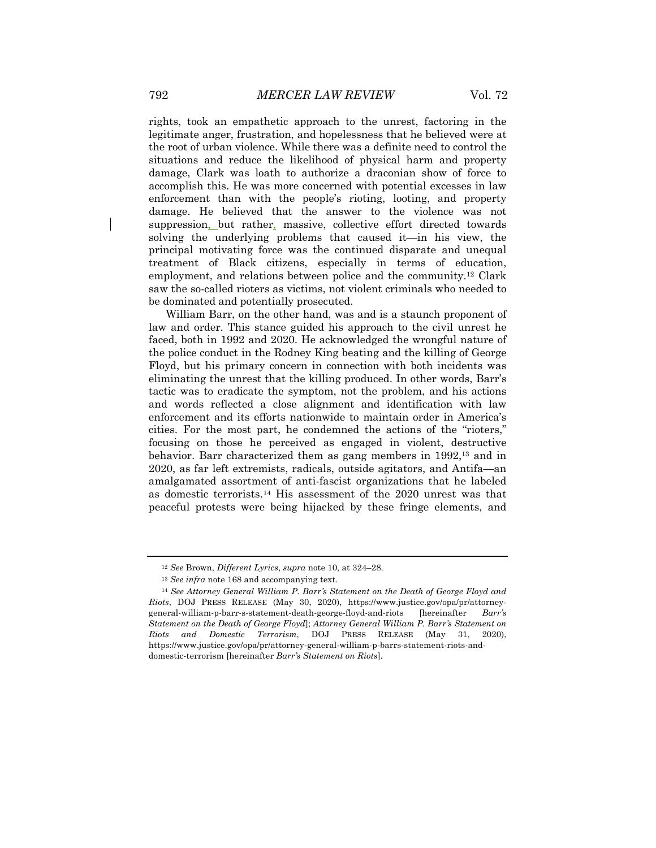rights, took an empathetic approach to the unrest, factoring in the legitimate anger, frustration, and hopelessness that he believed were at the root of urban violence. While there was a definite need to control the situations and reduce the likelihood of physical harm and property damage, Clark was loath to authorize a draconian show of force to accomplish this. He was more concerned with potential excesses in law enforcement than with the people's rioting, looting, and property damage. He believed that the answer to the violence was not suppression, but rather, massive, collective effort directed towards solving the underlying problems that caused it—in his view, the principal motivating force was the continued disparate and unequal treatment of Black citizens, especially in terms of education, employment, and relations between police and the community.12 Clark saw the so-called rioters as victims, not violent criminals who needed to be dominated and potentially prosecuted.

William Barr, on the other hand, was and is a staunch proponent of law and order. This stance guided his approach to the civil unrest he faced, both in 1992 and 2020. He acknowledged the wrongful nature of the police conduct in the Rodney King beating and the killing of George Floyd, but his primary concern in connection with both incidents was eliminating the unrest that the killing produced. In other words, Barr's tactic was to eradicate the symptom, not the problem, and his actions and words reflected a close alignment and identification with law enforcement and its efforts nationwide to maintain order in America's cities. For the most part, he condemned the actions of the "rioters," focusing on those he perceived as engaged in violent, destructive behavior. Barr characterized them as gang members in 1992,13 and in 2020, as far left extremists, radicals, outside agitators, and Antifa—an amalgamated assortment of anti-fascist organizations that he labeled as domestic terrorists.14 His assessment of the 2020 unrest was that peaceful protests were being hijacked by these fringe elements, and

<sup>12</sup> *See* Brown, *Different Lyrics*, *supra* note 10, at 324–28.

<sup>13</sup> *See infra* note 168 and accompanying text.

<sup>14</sup> *See Attorney General William P. Barr's Statement on the Death of George Floyd and Riots*, DOJ PRESS RELEASE (May 30, 2020), https://www.justice.gov/opa/pr/attorneygeneral-william-p-barr-s-statement-death-george-floyd-and-riots [hereinafter *Barr's Statement on the Death of George Floyd*]; *Attorney General William P. Barr's Statement on Riots and Domestic Terrorism*, DOJ PRESS RELEASE (May 31, 2020), https://www.justice.gov/opa/pr/attorney-general-william-p-barrs-statement-riots-anddomestic-terrorism [hereinafter *Barr's Statement on Riots*].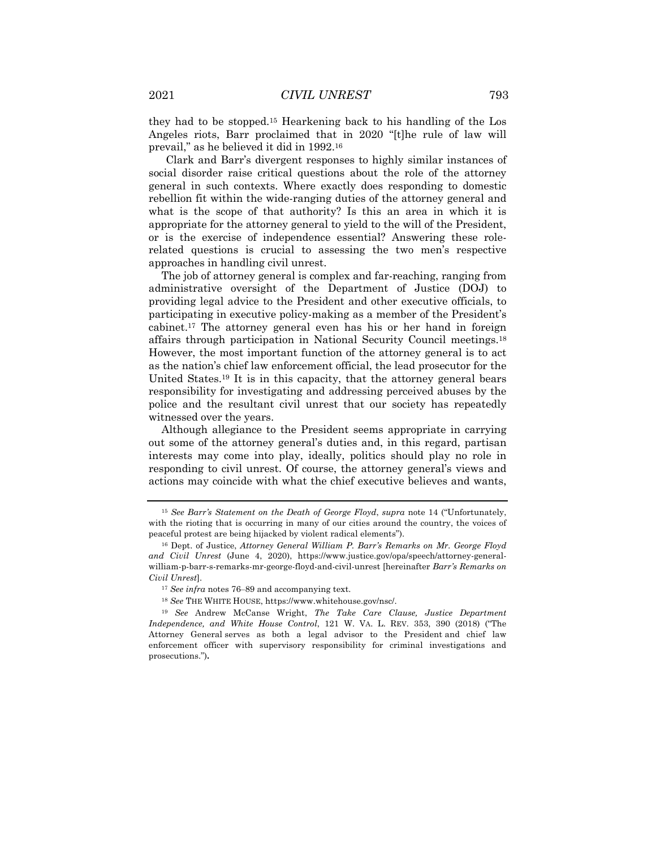they had to be stopped.15 Hearkening back to his handling of the Los Angeles riots, Barr proclaimed that in 2020 "[t]he rule of law will prevail," as he believed it did in 1992.16

Clark and Barr's divergent responses to highly similar instances of social disorder raise critical questions about the role of the attorney general in such contexts. Where exactly does responding to domestic rebellion fit within the wide-ranging duties of the attorney general and what is the scope of that authority? Is this an area in which it is appropriate for the attorney general to yield to the will of the President, or is the exercise of independence essential? Answering these rolerelated questions is crucial to assessing the two men's respective approaches in handling civil unrest.

The job of attorney general is complex and far-reaching, ranging from administrative oversight of the Department of Justice (DOJ) to providing legal advice to the President and other executive officials, to participating in executive policy-making as a member of the President's cabinet.17 The attorney general even has his or her hand in foreign affairs through participation in National Security Council meetings.18 However, the most important function of the attorney general is to act as the nation's chief law enforcement official, the lead prosecutor for the United States.19 It is in this capacity, that the attorney general bears responsibility for investigating and addressing perceived abuses by the police and the resultant civil unrest that our society has repeatedly witnessed over the years.

Although allegiance to the President seems appropriate in carrying out some of the attorney general's duties and, in this regard, partisan interests may come into play, ideally, politics should play no role in responding to civil unrest. Of course, the attorney general's views and actions may coincide with what the chief executive believes and wants,

<sup>15</sup> *See Barr's Statement on the Death of George Floyd*, *supra* note 14 ("Unfortunately, with the rioting that is occurring in many of our cities around the country, the voices of peaceful protest are being hijacked by violent radical elements").

<sup>16</sup> Dept. of Justice, *Attorney General William P. Barr's Remarks on Mr. George Floyd and Civil Unrest* (June 4, 2020), https://www.justice.gov/opa/speech/attorney-generalwilliam-p-barr-s-remarks-mr-george-floyd-and-civil-unrest [hereinafter *Barr's Remarks on Civil Unrest*].

<sup>&</sup>lt;sup>17</sup> See infra notes 76-89 and accompanying text.

<sup>18</sup> *See* THE WHITE HOUSE, https://www.whitehouse.gov/nsc/.

<sup>19</sup> *See* Andrew McCanse Wright, *The Take Care Clause, Justice Department Independence, and White House Control*, 121 W. VA. L. REV. 353, 390 (2018) ("The Attorney General serves as both a legal advisor to the President and chief law enforcement officer with supervisory responsibility for criminal investigations and prosecutions.")**.**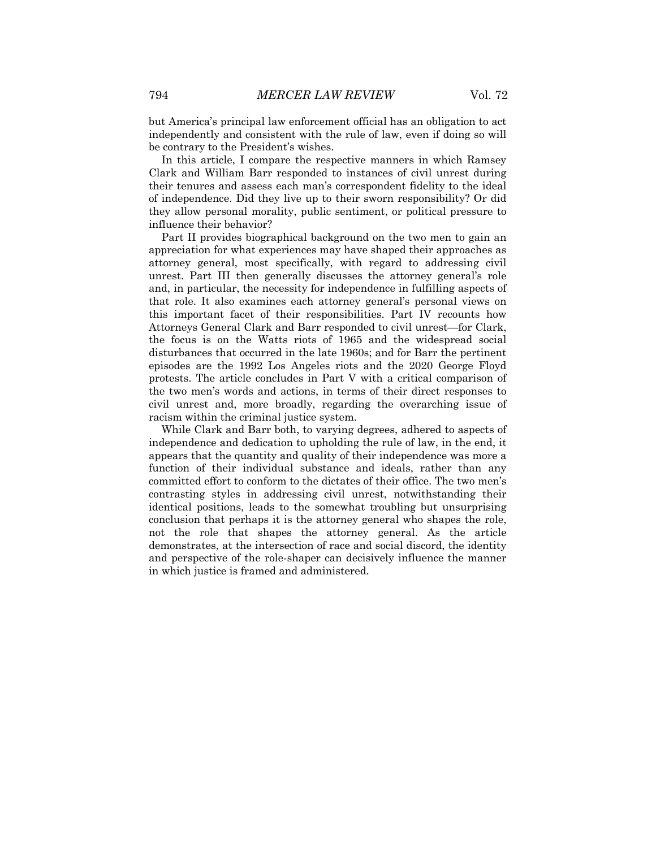but America's principal law enforcement official has an obligation to act independently and consistent with the rule of law, even if doing so will be contrary to the President's wishes.

In this article, I compare the respective manners in which Ramsey Clark and William Barr responded to instances of civil unrest during their tenures and assess each man's correspondent fidelity to the ideal of independence. Did they live up to their sworn responsibility? Or did they allow personal morality, public sentiment, or political pressure to influence their behavior?

Part II provides biographical background on the two men to gain an appreciation for what experiences may have shaped their approaches as attorney general, most specifically, with regard to addressing civil unrest. Part III then generally discusses the attorney general's role and, in particular, the necessity for independence in fulfilling aspects of that role. It also examines each attorney general's personal views on this important facet of their responsibilities. Part IV recounts how Attorneys General Clark and Barr responded to civil unrest—for Clark, the focus is on the Watts riots of 1965 and the widespread social disturbances that occurred in the late 1960s; and for Barr the pertinent episodes are the 1992 Los Angeles riots and the 2020 George Floyd protests. The article concludes in Part V with a critical comparison of the two men's words and actions, in terms of their direct responses to civil unrest and, more broadly, regarding the overarching issue of racism within the criminal justice system.

While Clark and Barr both, to varying degrees, adhered to aspects of independence and dedication to upholding the rule of law, in the end, it appears that the quantity and quality of their independence was more a function of their individual substance and ideals, rather than any committed effort to conform to the dictates of their office. The two men's contrasting styles in addressing civil unrest, notwithstanding their identical positions, leads to the somewhat troubling but unsurprising conclusion that perhaps it is the attorney general who shapes the role, not the role that shapes the attorney general. As the article demonstrates, at the intersection of race and social discord, the identity and perspective of the role-shaper can decisively influence the manner in which justice is framed and administered.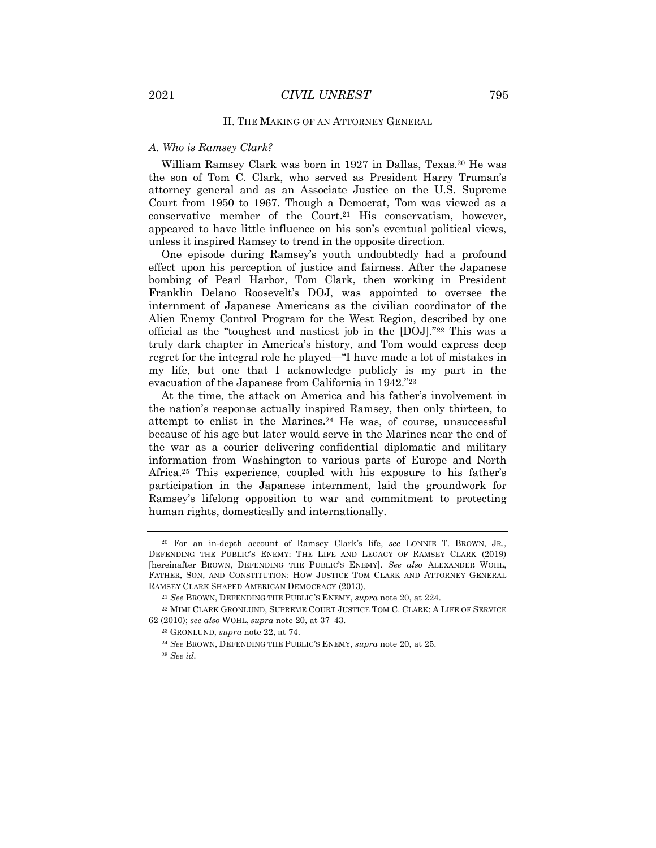#### II. THE MAKING OF AN ATTORNEY GENERAL

#### *A. Who is Ramsey Clark?*

William Ramsey Clark was born in 1927 in Dallas, Texas.20 He was the son of Tom C. Clark, who served as President Harry Truman's attorney general and as an Associate Justice on the U.S. Supreme Court from 1950 to 1967. Though a Democrat, Tom was viewed as a conservative member of the Court.21 His conservatism, however, appeared to have little influence on his son's eventual political views, unless it inspired Ramsey to trend in the opposite direction.

One episode during Ramsey's youth undoubtedly had a profound effect upon his perception of justice and fairness. After the Japanese bombing of Pearl Harbor, Tom Clark, then working in President Franklin Delano Roosevelt's DOJ, was appointed to oversee the internment of Japanese Americans as the civilian coordinator of the Alien Enemy Control Program for the West Region, described by one official as the "toughest and nastiest job in the [DOJ]."22 This was a truly dark chapter in America's history, and Tom would express deep regret for the integral role he played—"I have made a lot of mistakes in my life, but one that I acknowledge publicly is my part in the evacuation of the Japanese from California in 1942."23

At the time, the attack on America and his father's involvement in the nation's response actually inspired Ramsey, then only thirteen, to attempt to enlist in the Marines.24 He was, of course, unsuccessful because of his age but later would serve in the Marines near the end of the war as a courier delivering confidential diplomatic and military information from Washington to various parts of Europe and North Africa.25 This experience, coupled with his exposure to his father's participation in the Japanese internment, laid the groundwork for Ramsey's lifelong opposition to war and commitment to protecting human rights, domestically and internationally.

<sup>20</sup> For an in-depth account of Ramsey Clark's life, *see* LONNIE T. BROWN, JR., DEFENDING THE PUBLIC'S ENEMY: THE LIFE AND LEGACY OF RAMSEY CLARK (2019) [hereinafter BROWN, DEFENDING THE PUBLIC'S ENEMY]. *See also* ALEXANDER WOHL, FATHER, SON, AND CONSTITUTION: HOW JUSTICE TOM CLARK AND ATTORNEY GENERAL RAMSEY CLARK SHAPED AMERICAN DEMOCRACY (2013).

<sup>21</sup> *See* BROWN, DEFENDING THE PUBLIC'S ENEMY, *supra* note 20, at 224.

<sup>22</sup> MIMI CLARK GRONLUND, SUPREME COURT JUSTICE TOM C. CLARK: A LIFE OF SERVICE 62 (2010); *see also* WOHL, *supra* note 20, at 37‒43.

<sup>23</sup> GRONLUND, *supra* note 22, at 74.

<sup>24</sup> *See* BROWN, DEFENDING THE PUBLIC'S ENEMY, *supra* note 20, at 25. <sup>25</sup> *See id.*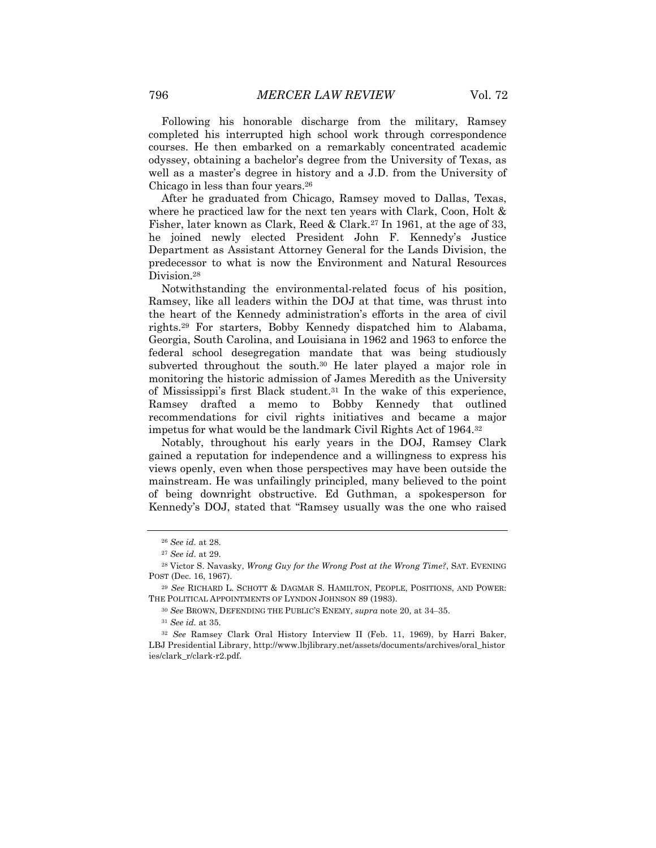Following his honorable discharge from the military, Ramsey completed his interrupted high school work through correspondence courses. He then embarked on a remarkably concentrated academic odyssey, obtaining a bachelor's degree from the University of Texas, as well as a master's degree in history and a J.D. from the University of Chicago in less than four years.26

After he graduated from Chicago, Ramsey moved to Dallas, Texas, where he practiced law for the next ten years with Clark, Coon, Holt & Fisher, later known as Clark, Reed & Clark.27 In 1961, at the age of 33, he joined newly elected President John F. Kennedy's Justice Department as Assistant Attorney General for the Lands Division, the predecessor to what is now the Environment and Natural Resources Division.28

Notwithstanding the environmental-related focus of his position, Ramsey, like all leaders within the DOJ at that time, was thrust into the heart of the Kennedy administration's efforts in the area of civil rights.29 For starters, Bobby Kennedy dispatched him to Alabama, Georgia, South Carolina, and Louisiana in 1962 and 1963 to enforce the federal school desegregation mandate that was being studiously subverted throughout the south.<sup>30</sup> He later played a major role in monitoring the historic admission of James Meredith as the University of Mississippi's first Black student.31 In the wake of this experience, Ramsey drafted a memo to Bobby Kennedy that outlined recommendations for civil rights initiatives and became a major impetus for what would be the landmark Civil Rights Act of 1964.32

Notably, throughout his early years in the DOJ, Ramsey Clark gained a reputation for independence and a willingness to express his views openly, even when those perspectives may have been outside the mainstream. He was unfailingly principled, many believed to the point of being downright obstructive. Ed Guthman, a spokesperson for Kennedy's DOJ, stated that "Ramsey usually was the one who raised

<sup>26</sup> *See id.* at 28.

<sup>27</sup> *See id.* at 29.

<sup>28</sup> Victor S. Navasky, *Wrong Guy for the Wrong Post at the Wrong Time?*, SAT. EVENING POST (Dec. 16, 1967).

<sup>29</sup> *See* RICHARD L. SCHOTT & DAGMAR S. HAMILTON, PEOPLE, POSITIONS, AND POWER: THE POLITICAL APPOINTMENTS OF LYNDON JOHNSON 89 (1983).

<sup>30</sup> *See* BROWN, DEFENDING THE PUBLIC'S ENEMY, *supra* note 20, at 34‒35.

<sup>31</sup> *See id.* at 35.

<sup>32</sup> *See* Ramsey Clark Oral History Interview II (Feb. 11, 1969), by Harri Baker, LBJ Presidential Library, http://www.lbjlibrary.net/assets/documents/archives/oral\_histor ies/clark\_r/clark-r2.pdf.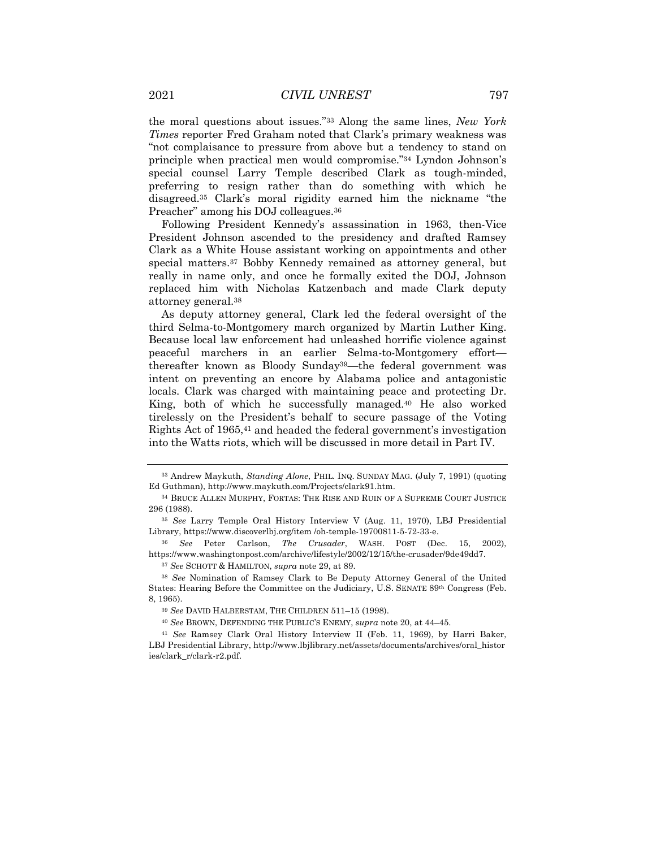the moral questions about issues."33 Along the same lines, *New York Times* reporter Fred Graham noted that Clark's primary weakness was "not complaisance to pressure from above but a tendency to stand on principle when practical men would compromise."34 Lyndon Johnson's special counsel Larry Temple described Clark as tough-minded, preferring to resign rather than do something with which he disagreed.35 Clark's moral rigidity earned him the nickname "the Preacher" among his DOJ colleagues.36

Following President Kennedy's assassination in 1963, then-Vice President Johnson ascended to the presidency and drafted Ramsey Clark as a White House assistant working on appointments and other special matters.37 Bobby Kennedy remained as attorney general, but really in name only, and once he formally exited the DOJ, Johnson replaced him with Nicholas Katzenbach and made Clark deputy attorney general.38

As deputy attorney general, Clark led the federal oversight of the third Selma-to-Montgomery march organized by Martin Luther King. Because local law enforcement had unleashed horrific violence against peaceful marchers in an earlier Selma-to-Montgomery effort thereafter known as Bloody Sunday39—the federal government was intent on preventing an encore by Alabama police and antagonistic locals. Clark was charged with maintaining peace and protecting Dr. King, both of which he successfully managed.40 He also worked tirelessly on the President's behalf to secure passage of the Voting Rights Act of 1965,41 and headed the federal government's investigation into the Watts riots, which will be discussed in more detail in Part IV.

<sup>37</sup> *See* SCHOTT & HAMILTON, *supra* note 29, at 89.

<sup>33</sup> Andrew Maykuth, *Standing Alone*, PHIL. INQ. SUNDAY MAG. (July 7, 1991) (quoting Ed Guthman), http://www.maykuth.com/Projects/clark91.htm.

<sup>34</sup> BRUCE ALLEN MURPHY, FORTAS: THE RISE AND RUIN OF A SUPREME COURT JUSTICE 296 (1988).

<sup>35</sup> *See* Larry Temple Oral History Interview V (Aug. 11, 1970), LBJ Presidential Library, https://www.discoverlbj.org/item /oh-temple-19700811-5-72-33-e.

<sup>36</sup> *See* Peter Carlson, *The Crusader*, WASH. POST (Dec. 15, 2002), https://www.washingtonpost.com/archive/lifestyle/2002/12/15/the-crusader/9de49dd7.

<sup>38</sup> *See* Nomination of Ramsey Clark to Be Deputy Attorney General of the United States: Hearing Before the Committee on the Judiciary, U.S. SENATE 89th Congress (Feb. 8, 1965).

<sup>39</sup> *See* DAVID HALBERSTAM, THE CHILDREN 511–15 (1998).

<sup>40</sup> *See* BROWN, DEFENDING THE PUBLIC'S ENEMY, *supra* note 20, at 44–45.

<sup>41</sup> *See* Ramsey Clark Oral History Interview II (Feb. 11, 1969), by Harri Baker, LBJ Presidential Library, http://www.lbjlibrary.net/assets/documents/archives/oral\_histor ies/clark\_r/clark-r2.pdf.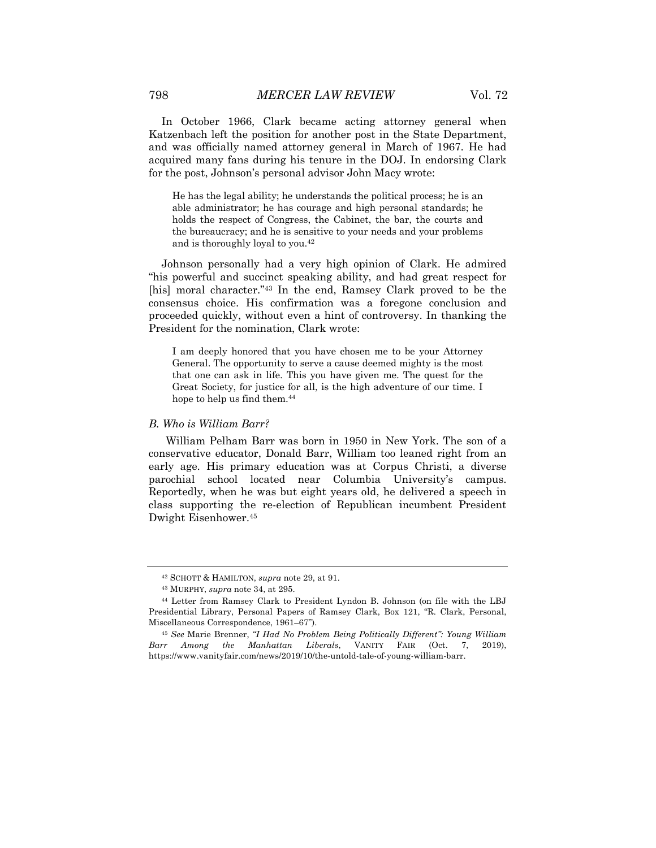In October 1966, Clark became acting attorney general when Katzenbach left the position for another post in the State Department, and was officially named attorney general in March of 1967. He had acquired many fans during his tenure in the DOJ. In endorsing Clark for the post, Johnson's personal advisor John Macy wrote:

He has the legal ability; he understands the political process; he is an able administrator; he has courage and high personal standards; he holds the respect of Congress, the Cabinet, the bar, the courts and the bureaucracy; and he is sensitive to your needs and your problems and is thoroughly loyal to you.42

Johnson personally had a very high opinion of Clark. He admired "his powerful and succinct speaking ability, and had great respect for [his] moral character."<sup>43</sup> In the end, Ramsey Clark proved to be the consensus choice. His confirmation was a foregone conclusion and proceeded quickly, without even a hint of controversy. In thanking the President for the nomination, Clark wrote:

I am deeply honored that you have chosen me to be your Attorney General. The opportunity to serve a cause deemed mighty is the most that one can ask in life. This you have given me. The quest for the Great Society, for justice for all, is the high adventure of our time. I hope to help us find them.44

#### *B. Who is William Barr?*

William Pelham Barr was born in 1950 in New York. The son of a conservative educator, Donald Barr, William too leaned right from an early age. His primary education was at Corpus Christi, a diverse parochial school located near Columbia University's campus. Reportedly, when he was but eight years old, he delivered a speech in class supporting the re-election of Republican incumbent President Dwight Eisenhower.45

<sup>42</sup> SCHOTT & HAMILTON, *supra* note 29, at 91.

<sup>43</sup> MURPHY, *supra* note 34, at 295.

<sup>44</sup> Letter from Ramsey Clark to President Lyndon B. Johnson (on file with the LBJ Presidential Library, Personal Papers of Ramsey Clark, Box 121, "R. Clark, Personal, Miscellaneous Correspondence, 1961–67").

<sup>45</sup> *See* Marie Brenner, *"I Had No Problem Being Politically Different": Young William Barr Among the Manhattan Liberals*, VANITY FAIR (Oct. 7, 2019), https://www.vanityfair.com/news/2019/10/the-untold-tale-of-young-william-barr.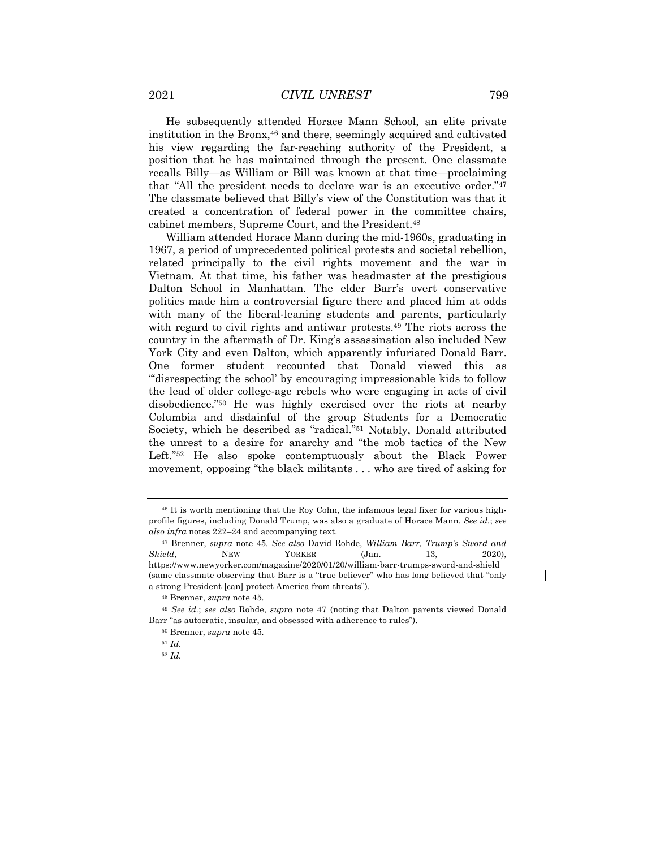He subsequently attended Horace Mann School, an elite private institution in the Bronx,46 and there, seemingly acquired and cultivated his view regarding the far-reaching authority of the President, a position that he has maintained through the present. One classmate recalls Billy—as William or Bill was known at that time—proclaiming that "All the president needs to declare war is an executive order."47 The classmate believed that Billy's view of the Constitution was that it created a concentration of federal power in the committee chairs, cabinet members, Supreme Court, and the President.48

William attended Horace Mann during the mid-1960s, graduating in 1967, a period of unprecedented political protests and societal rebellion, related principally to the civil rights movement and the war in Vietnam. At that time, his father was headmaster at the prestigious Dalton School in Manhattan. The elder Barr's overt conservative politics made him a controversial figure there and placed him at odds with many of the liberal-leaning students and parents, particularly with regard to civil rights and antiwar protests.49 The riots across the country in the aftermath of Dr. King's assassination also included New York City and even Dalton, which apparently infuriated Donald Barr. One former student recounted that Donald viewed this as "'disrespecting the school' by encouraging impressionable kids to follow the lead of older college-age rebels who were engaging in acts of civil disobedience."50 He was highly exercised over the riots at nearby Columbia and disdainful of the group Students for a Democratic Society, which he described as "radical."51 Notably, Donald attributed the unrest to a desire for anarchy and "the mob tactics of the New Left."52 He also spoke contemptuously about the Black Power movement, opposing "the black militants . . . who are tired of asking for

<sup>46</sup> It is worth mentioning that the Roy Cohn, the infamous legal fixer for various highprofile figures, including Donald Trump, was also a graduate of Horace Mann. *See id.*; *see also infra* notes 222–24 and accompanying text.

<sup>47</sup> Brenner, *supra* note 45*. See also* David Rohde, *William Barr, Trump's Sword and Shield*, **NEW** YORKER (Jan. 13, 2020), https://www.newyorker.com/magazine/2020/01/20/william-barr-trumps-sword-and-shield (same classmate observing that Barr is a "true believer" who has long believed that "only a strong President [can] protect America from threats").

<sup>48</sup> Brenner, *supra* note 45*.*

<sup>49</sup> *See id.*; *see also* Rohde, *supra* note 47 (noting that Dalton parents viewed Donald Barr "as autocratic, insular, and obsessed with adherence to rules").

<sup>50</sup> Brenner, *supra* note 45*.*

<sup>51</sup> *Id.*

<sup>52</sup> *Id.*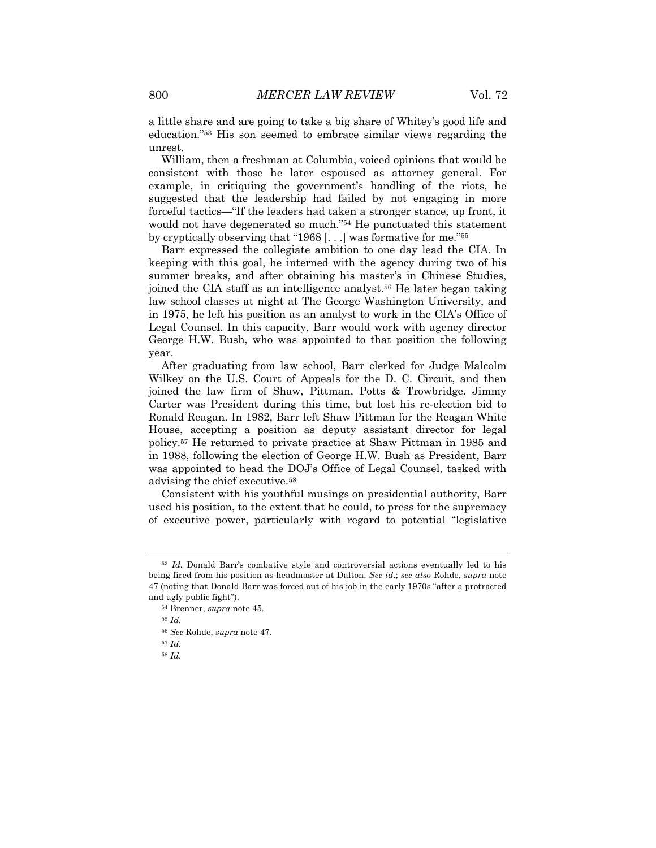a little share and are going to take a big share of Whitey's good life and education."53 His son seemed to embrace similar views regarding the unrest.

William, then a freshman at Columbia, voiced opinions that would be consistent with those he later espoused as attorney general. For example, in critiquing the government's handling of the riots, he suggested that the leadership had failed by not engaging in more forceful tactics—"If the leaders had taken a stronger stance, up front, it would not have degenerated so much."54 He punctuated this statement by cryptically observing that "1968 [. . .] was formative for me."55

Barr expressed the collegiate ambition to one day lead the CIA. In keeping with this goal, he interned with the agency during two of his summer breaks, and after obtaining his master's in Chinese Studies, joined the CIA staff as an intelligence analyst.56 He later began taking law school classes at night at The George Washington University, and in 1975, he left his position as an analyst to work in the CIA's Office of Legal Counsel. In this capacity, Barr would work with agency director George H.W. Bush, who was appointed to that position the following year.

After graduating from law school, Barr clerked for Judge Malcolm Wilkey on the U.S. Court of Appeals for the D. C. Circuit, and then joined the law firm of Shaw, Pittman, Potts & Trowbridge. Jimmy Carter was President during this time, but lost his re-election bid to Ronald Reagan. In 1982, Barr left Shaw Pittman for the Reagan White House, accepting a position as deputy assistant director for legal policy.57 He returned to private practice at Shaw Pittman in 1985 and in 1988, following the election of George H.W. Bush as President, Barr was appointed to head the DOJ's Office of Legal Counsel, tasked with advising the chief executive.58

Consistent with his youthful musings on presidential authority, Barr used his position, to the extent that he could, to press for the supremacy of executive power, particularly with regard to potential "legislative

<sup>55</sup> *Id.*

<sup>58</sup> *Id.*

<sup>53</sup> *Id.* Donald Barr's combative style and controversial actions eventually led to his being fired from his position as headmaster at Dalton. *See id.*; *see also* Rohde, *supra* note 47 (noting that Donald Barr was forced out of his job in the early 1970s "after a protracted and ugly public fight").

<sup>54</sup> Brenner, *supra* note 45*.*

<sup>56</sup> *See* Rohde, *supra* note 47.

<sup>57</sup> *Id.*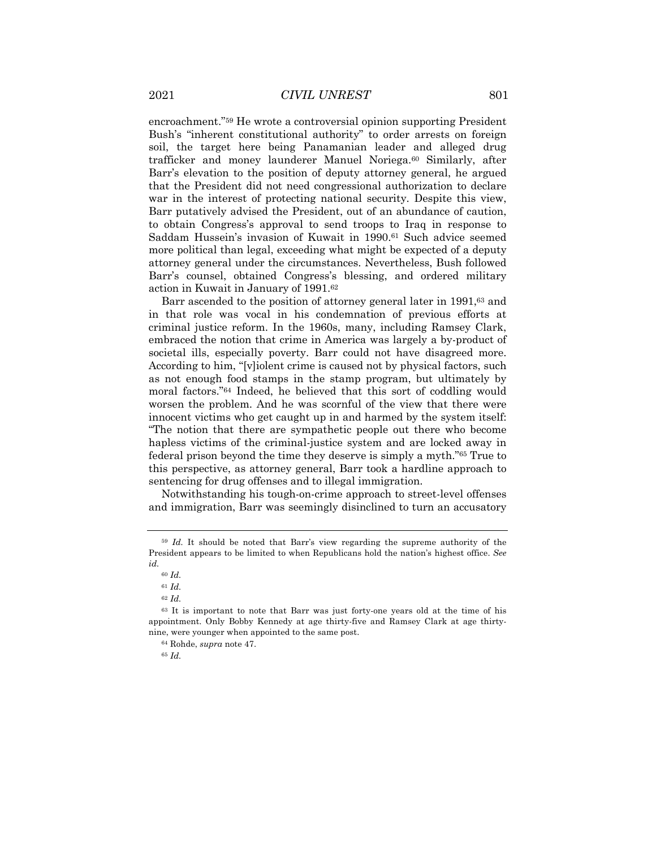encroachment."59 He wrote a controversial opinion supporting President Bush's "inherent constitutional authority" to order arrests on foreign soil, the target here being Panamanian leader and alleged drug trafficker and money launderer Manuel Noriega.60 Similarly, after Barr's elevation to the position of deputy attorney general, he argued that the President did not need congressional authorization to declare war in the interest of protecting national security. Despite this view, Barr putatively advised the President, out of an abundance of caution, to obtain Congress's approval to send troops to Iraq in response to Saddam Hussein's invasion of Kuwait in 1990.61 Such advice seemed more political than legal, exceeding what might be expected of a deputy attorney general under the circumstances. Nevertheless, Bush followed Barr's counsel, obtained Congress's blessing, and ordered military action in Kuwait in January of 1991.62

Barr ascended to the position of attorney general later in 1991,<sup>63</sup> and in that role was vocal in his condemnation of previous efforts at criminal justice reform. In the 1960s, many, including Ramsey Clark, embraced the notion that crime in America was largely a by-product of societal ills, especially poverty. Barr could not have disagreed more. According to him, "[v]iolent crime is caused not by physical factors, such as not enough food stamps in the stamp program, but ultimately by moral factors."64 Indeed, he believed that this sort of coddling would worsen the problem. And he was scornful of the view that there were innocent victims who get caught up in and harmed by the system itself: "The notion that there are sympathetic people out there who become hapless victims of the criminal-justice system and are locked away in federal prison beyond the time they deserve is simply a myth."65 True to this perspective, as attorney general, Barr took a hardline approach to sentencing for drug offenses and to illegal immigration.

Notwithstanding his tough-on-crime approach to street-level offenses and immigration, Barr was seemingly disinclined to turn an accusatory

<sup>65</sup> *Id.*

<sup>59</sup> *Id.* It should be noted that Barr's view regarding the supreme authority of the President appears to be limited to when Republicans hold the nation's highest office. *See id.*

<sup>60</sup> *Id.*

<sup>61</sup> *Id.*

<sup>62</sup> *Id.*

<sup>63</sup> It is important to note that Barr was just forty-one years old at the time of his appointment. Only Bobby Kennedy at age thirty-five and Ramsey Clark at age thirtynine, were younger when appointed to the same post.

<sup>64</sup> Rohde, *supra* note 47.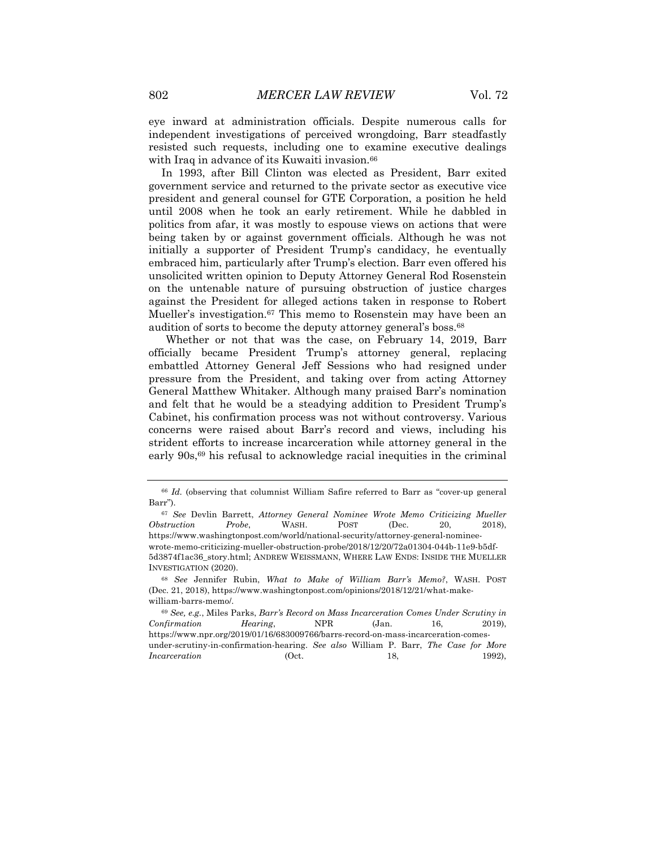eye inward at administration officials. Despite numerous calls for independent investigations of perceived wrongdoing, Barr steadfastly resisted such requests, including one to examine executive dealings with Iraq in advance of its Kuwaiti invasion.<sup>66</sup>

In 1993, after Bill Clinton was elected as President, Barr exited government service and returned to the private sector as executive vice president and general counsel for GTE Corporation, a position he held until 2008 when he took an early retirement. While he dabbled in politics from afar, it was mostly to espouse views on actions that were being taken by or against government officials. Although he was not initially a supporter of President Trump's candidacy, he eventually embraced him, particularly after Trump's election. Barr even offered his unsolicited written opinion to Deputy Attorney General Rod Rosenstein on the untenable nature of pursuing obstruction of justice charges against the President for alleged actions taken in response to Robert Mueller's investigation.67 This memo to Rosenstein may have been an audition of sorts to become the deputy attorney general's boss.68

Whether or not that was the case, on February 14, 2019, Barr officially became President Trump's attorney general, replacing embattled Attorney General Jeff Sessions who had resigned under pressure from the President, and taking over from acting Attorney General Matthew Whitaker. Although many praised Barr's nomination and felt that he would be a steadying addition to President Trump's Cabinet, his confirmation process was not without controversy. Various concerns were raised about Barr's record and views, including his strident efforts to increase incarceration while attorney general in the early 90s,69 his refusal to acknowledge racial inequities in the criminal

<sup>66</sup> *Id.* (observing that columnist William Safire referred to Barr as "cover-up general Barr").

<sup>67</sup> *See* Devlin Barrett, *Attorney General Nominee Wrote Memo Criticizing Mueller Obstruction Probe*, WASH. POST (Dec. 20, 2018), https://www.washingtonpost.com/world/national-security/attorney-general-nomineewrote-memo-criticizing-mueller-obstruction-probe/2018/12/20/72a01304-044b-11e9-b5df-5d3874f1ac36\_story.html; ANDREW WEISSMANN, WHERE LAW ENDS: INSIDE THE MUELLER INVESTIGATION (2020).

<sup>68</sup> *See* Jennifer Rubin, *What to Make of William Barr's Memo?*, WASH. POST (Dec. 21, 2018), https://www.washingtonpost.com/opinions/2018/12/21/what-makewilliam-barrs-memo/.

<sup>69</sup> *See, e.g.*, Miles Parks, *Barr's Record on Mass Incarceration Comes Under Scrutiny in Confirmation Hearing*, NPR (Jan. 16, 2019), https://www.npr.org/2019/01/16/683009766/barrs-record-on-mass-incarceration-comesunder-scrutiny-in-confirmation-hearing. *See also* William P. Barr, *The Case for More Incarceration* (Oct. 18, 1992).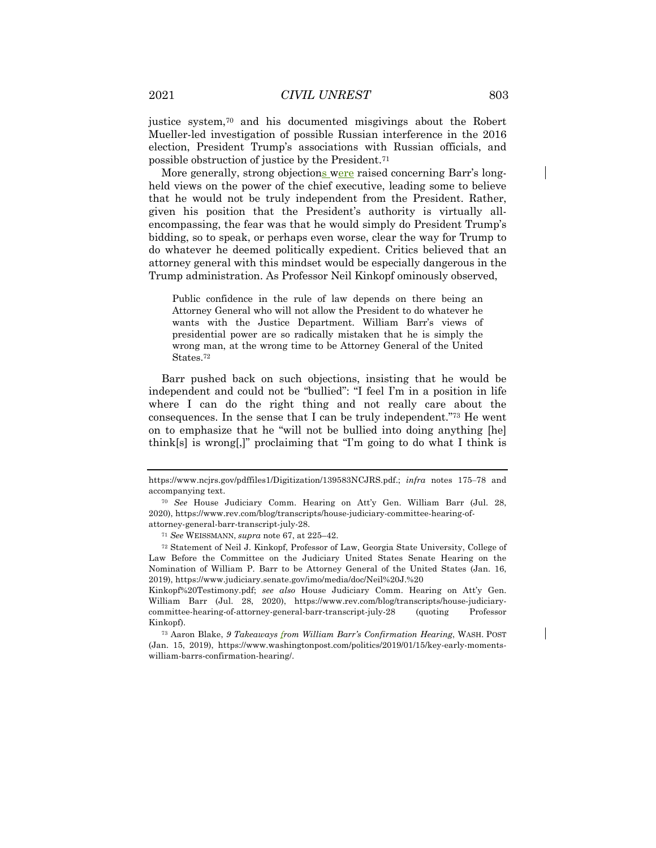justice system,70 and his documented misgivings about the Robert Mueller-led investigation of possible Russian interference in the 2016 election, President Trump's associations with Russian officials, and possible obstruction of justice by the President.71

More generally, strong objections were raised concerning Barr's longheld views on the power of the chief executive, leading some to believe that he would not be truly independent from the President. Rather, given his position that the President's authority is virtually allencompassing, the fear was that he would simply do President Trump's bidding, so to speak, or perhaps even worse, clear the way for Trump to do whatever he deemed politically expedient. Critics believed that an attorney general with this mindset would be especially dangerous in the Trump administration. As Professor Neil Kinkopf ominously observed,

Public confidence in the rule of law depends on there being an Attorney General who will not allow the President to do whatever he wants with the Justice Department. William Barr's views of presidential power are so radically mistaken that he is simply the wrong man, at the wrong time to be Attorney General of the United States.72

Barr pushed back on such objections, insisting that he would be independent and could not be "bullied": "I feel I'm in a position in life where I can do the right thing and not really care about the consequences. In the sense that I can be truly independent."73 He went on to emphasize that he "will not be bullied into doing anything [he] think[s] is wrong[,]" proclaiming that "I'm going to do what I think is

https://www.ncjrs.gov/pdffiles1/Digitization/139583NCJRS.pdf.; *infra* notes 175–78 and accompanying text.

<sup>70</sup> *See* House Judiciary Comm. Hearing on Att'y Gen. William Barr (Jul. 28, 2020), https://www.rev.com/blog/transcripts/house-judiciary-committee-hearing-ofattorney-general-barr-transcript-july-28.

<sup>71</sup> *See* WEISSMANN, *supra* note 67, at 225–42.

<sup>72</sup> Statement of Neil J. Kinkopf, Professor of Law, Georgia State University, College of Law Before the Committee on the Judiciary United States Senate Hearing on the Nomination of William P. Barr to be Attorney General of the United States (Jan. 16, 2019), https://www.judiciary.senate.gov/imo/media/doc/Neil%20J.%20

Kinkopf%20Testimony.pdf; *see also* House Judiciary Comm. Hearing on Att'y Gen. William Barr (Jul. 28, 2020), https://www.rev.com/blog/transcripts/house-judiciarycommittee-hearing-of-attorney-general-barr-transcript-july-28 (quoting Professor Kinkopf).

<sup>73</sup> Aaron Blake, *9 Takeaways from William Barr's Confirmation Hearing*, WASH. POST (Jan. 15, 2019), https://www.washingtonpost.com/politics/2019/01/15/key-early-momentswilliam-barrs-confirmation-hearing/.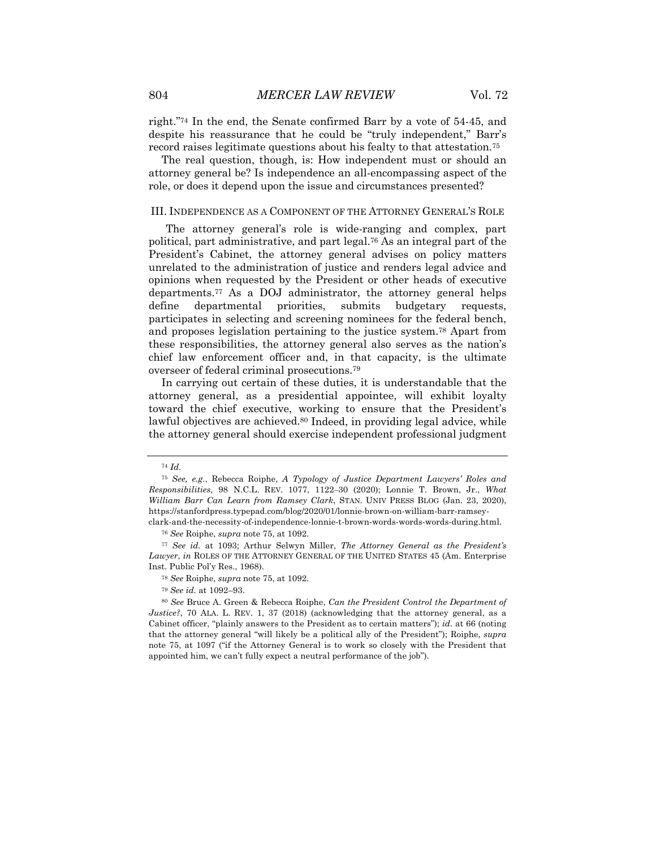right."74 In the end, the Senate confirmed Barr by a vote of 54-45, and despite his reassurance that he could be "truly independent," Barr's record raises legitimate questions about his fealty to that attestation.75

The real question, though, is: How independent must or should an attorney general be? Is independence an all-encompassing aspect of the role, or does it depend upon the issue and circumstances presented?

#### III. INDEPENDENCE AS A COMPONENT OF THE ATTORNEY GENERAL'S ROLE

The attorney general's role is wide-ranging and complex, part political, part administrative, and part legal.76 As an integral part of the President's Cabinet, the attorney general advises on policy matters unrelated to the administration of justice and renders legal advice and opinions when requested by the President or other heads of executive departments.77 As a DOJ administrator, the attorney general helps define departmental priorities, submits budgetary requests, participates in selecting and screening nominees for the federal bench, and proposes legislation pertaining to the justice system.78 Apart from these responsibilities, the attorney general also serves as the nation's chief law enforcement officer and, in that capacity, is the ultimate overseer of federal criminal prosecutions.79

In carrying out certain of these duties, it is understandable that the attorney general, as a presidential appointee, will exhibit loyalty toward the chief executive, working to ensure that the President's lawful objectives are achieved.<sup>80</sup> Indeed, in providing legal advice, while the attorney general should exercise independent professional judgment

<sup>74</sup> *Id.*

<sup>75</sup> *See, e.g.*, Rebecca Roiphe, *A Typology of Justice Department Lawyers' Roles and Responsibilities*, 98 N.C.L. REV. 1077, 1122‒30 (2020); Lonnie T. Brown, Jr., *What William Barr Can Learn from Ramsey Clark*, STAN. UNIV PRESS BLOG (Jan. 23, 2020), https://stanfordpress.typepad.com/blog/2020/01/lonnie-brown-on-william-barr-ramseyclark-and-the-necessity-of-independence-lonnie-t-brown-words-words-words-during.html.

<sup>76</sup> *See* Roiphe, *supra* note 75, at 1092.

<sup>77</sup> *See id.* at 1093; Arthur Selwyn Miller, *The Attorney General as the President's Lawyer*, *in* ROLES OF THE ATTORNEY GENERAL OF THE UNITED STATES 45 (Am. Enterprise

Inst. Public Pol'y Res., 1968).

<sup>78</sup> *See* Roiphe, *supra* note 75, at 1092.

<sup>79</sup> *See id.* at 1092–93.

<sup>80</sup> *See* Bruce A. Green & Rebecca Roiphe, *Can the President Control the Department of Justice?*, 70 ALA. L. REV. 1, 37 (2018) (acknowledging that the attorney general, as a Cabinet officer, "plainly answers to the President as to certain matters"); *id.* at 66 (noting that the attorney general "will likely be a political ally of the President"); Roiphe, *supra* note 75, at 1097 ("if the Attorney General is to work so closely with the President that appointed him, we can't fully expect a neutral performance of the job").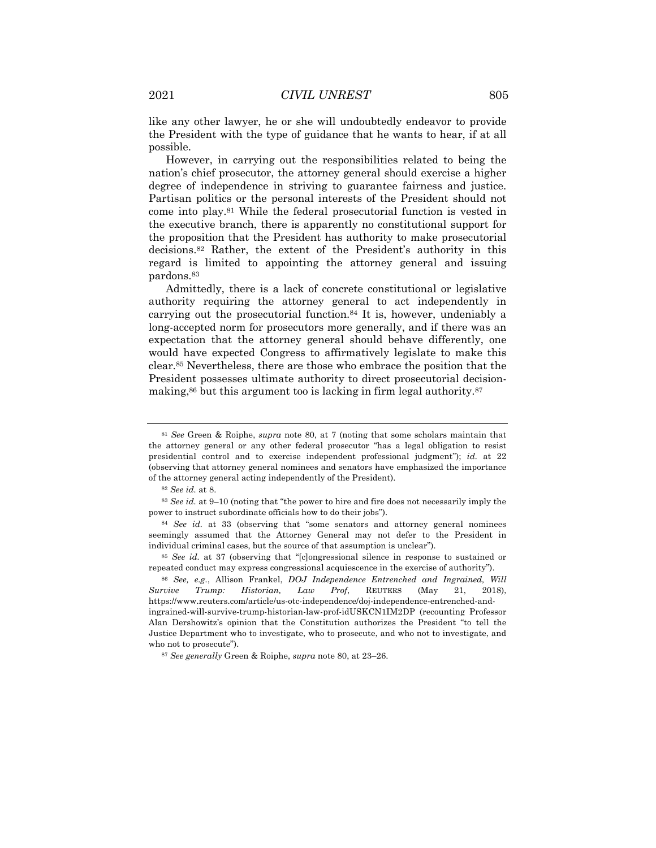like any other lawyer, he or she will undoubtedly endeavor to provide the President with the type of guidance that he wants to hear, if at all possible.

However, in carrying out the responsibilities related to being the nation's chief prosecutor, the attorney general should exercise a higher degree of independence in striving to guarantee fairness and justice. Partisan politics or the personal interests of the President should not come into play.81 While the federal prosecutorial function is vested in the executive branch, there is apparently no constitutional support for the proposition that the President has authority to make prosecutorial decisions.82 Rather, the extent of the President's authority in this regard is limited to appointing the attorney general and issuing pardons.83

Admittedly, there is a lack of concrete constitutional or legislative authority requiring the attorney general to act independently in carrying out the prosecutorial function.84 It is, however, undeniably a long-accepted norm for prosecutors more generally, and if there was an expectation that the attorney general should behave differently, one would have expected Congress to affirmatively legislate to make this clear.85 Nevertheless, there are those who embrace the position that the President possesses ultimate authority to direct prosecutorial decisionmaking,86 but this argument too is lacking in firm legal authority.87

<sup>81</sup> *See* Green & Roiphe, *supra* note 80, at 7 (noting that some scholars maintain that the attorney general or any other federal prosecutor "has a legal obligation to resist presidential control and to exercise independent professional judgment"); *id.* at 22 (observing that attorney general nominees and senators have emphasized the importance of the attorney general acting independently of the President).

<sup>82</sup> *See id.* at 8.

<sup>83</sup> *See id.* at 9–10 (noting that "the power to hire and fire does not necessarily imply the power to instruct subordinate officials how to do their jobs").

<sup>84</sup> *See id.* at 33 (observing that "some senators and attorney general nominees seemingly assumed that the Attorney General may not defer to the President in individual criminal cases, but the source of that assumption is unclear").

<sup>85</sup> *See id.* at 37 (observing that "[c]ongressional silence in response to sustained or repeated conduct may express congressional acquiescence in the exercise of authority").

<sup>86</sup> *See, e.g.*, Allison Frankel, *DOJ Independence Entrenched and Ingrained, Will Survive Trump: Historian, Law Prof*, REUTERS (May 21, 2018), https://www.reuters.com/article/us-otc-independence/doj-independence-entrenched-andingrained-will-survive-trump-historian-law-prof-idUSKCN1IM2DP (recounting Professor Alan Dershowitz's opinion that the Constitution authorizes the President "to tell the

Justice Department who to investigate, who to prosecute, and who not to investigate, and who not to prosecute").

<sup>87</sup> *See generally* Green & Roiphe, *supra* note 80, at 23–26.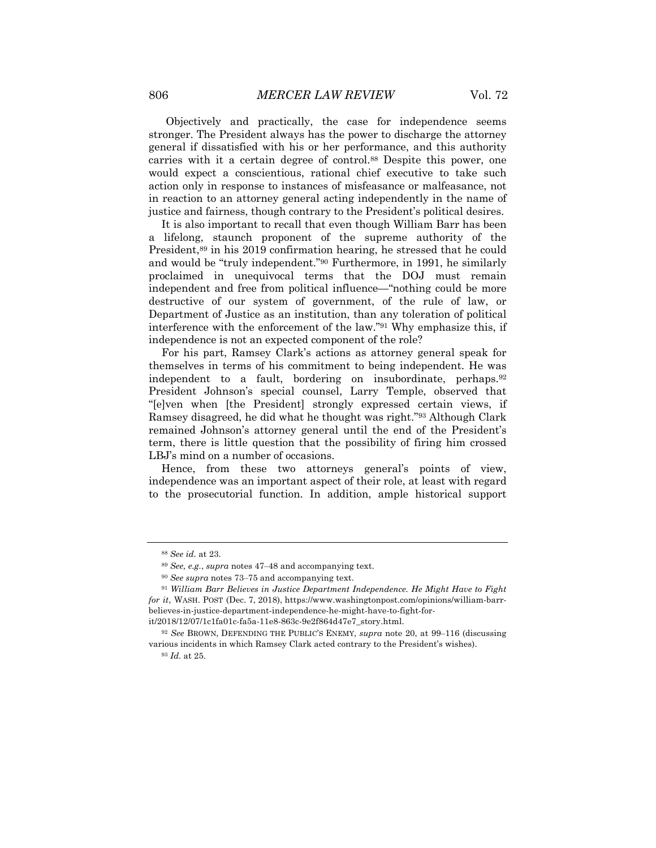Objectively and practically, the case for independence seems stronger. The President always has the power to discharge the attorney general if dissatisfied with his or her performance, and this authority carries with it a certain degree of control.88 Despite this power, one would expect a conscientious, rational chief executive to take such action only in response to instances of misfeasance or malfeasance, not in reaction to an attorney general acting independently in the name of justice and fairness, though contrary to the President's political desires.

It is also important to recall that even though William Barr has been a lifelong, staunch proponent of the supreme authority of the President,89 in his 2019 confirmation hearing, he stressed that he could and would be "truly independent."90 Furthermore, in 1991, he similarly proclaimed in unequivocal terms that the DOJ must remain independent and free from political influence—"nothing could be more destructive of our system of government, of the rule of law, or Department of Justice as an institution, than any toleration of political interference with the enforcement of the law."91 Why emphasize this, if independence is not an expected component of the role?

For his part, Ramsey Clark's actions as attorney general speak for themselves in terms of his commitment to being independent. He was independent to a fault, bordering on insubordinate, perhaps.92 President Johnson's special counsel, Larry Temple, observed that "[e]ven when [the President] strongly expressed certain views, if Ramsey disagreed, he did what he thought was right."93 Although Clark remained Johnson's attorney general until the end of the President's term, there is little question that the possibility of firing him crossed LBJ's mind on a number of occasions.

Hence, from these two attorneys general's points of view, independence was an important aspect of their role, at least with regard to the prosecutorial function. In addition, ample historical support

<sup>88</sup> *See id.* at 23.

<sup>89</sup> *See, e.g.*, *supra* notes 47‒48 and accompanying text.

<sup>90</sup> *See supra* notes 73‒75 and accompanying text.

<sup>91</sup> *William Barr Believes in Justice Department Independence. He Might Have to Fight for it*, WASH. POST (Dec. 7, 2018), https://www.washingtonpost.com/opinions/william-barrbelieves-in-justice-department-independence-he-might-have-to-fight-for-

it/2018/12/07/1c1fa01c-fa5a-11e8-863c-9e2f864d47e7\_story.html.

<sup>&</sup>lt;sup>92</sup> See BROWN, DEFENDING THE PUBLIC'S ENEMY, *supra* note 20, at 99–116 (discussing various incidents in which Ramsey Clark acted contrary to the President's wishes).

<sup>93</sup> *Id.* at 25.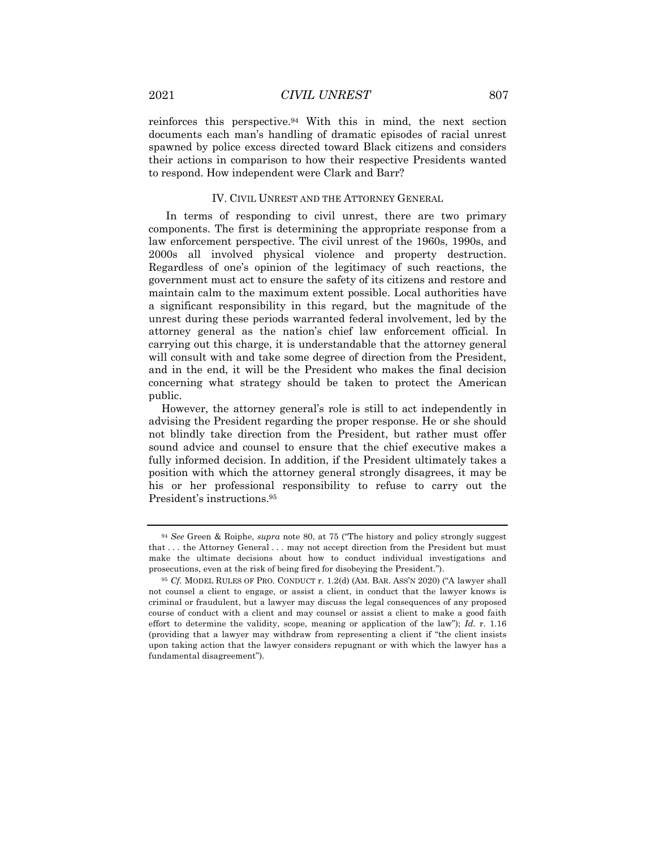reinforces this perspective.94 With this in mind, the next section documents each man's handling of dramatic episodes of racial unrest spawned by police excess directed toward Black citizens and considers their actions in comparison to how their respective Presidents wanted to respond. How independent were Clark and Barr?

#### IV. CIVIL UNREST AND THE ATTORNEY GENERAL

In terms of responding to civil unrest, there are two primary components. The first is determining the appropriate response from a law enforcement perspective. The civil unrest of the 1960s, 1990s, and 2000s all involved physical violence and property destruction. Regardless of one's opinion of the legitimacy of such reactions, the government must act to ensure the safety of its citizens and restore and maintain calm to the maximum extent possible. Local authorities have a significant responsibility in this regard, but the magnitude of the unrest during these periods warranted federal involvement, led by the attorney general as the nation's chief law enforcement official. In carrying out this charge, it is understandable that the attorney general will consult with and take some degree of direction from the President, and in the end, it will be the President who makes the final decision concerning what strategy should be taken to protect the American public.

However, the attorney general's role is still to act independently in advising the President regarding the proper response. He or she should not blindly take direction from the President, but rather must offer sound advice and counsel to ensure that the chief executive makes a fully informed decision. In addition, if the President ultimately takes a position with which the attorney general strongly disagrees, it may be his or her professional responsibility to refuse to carry out the President's instructions.95

<sup>94</sup> *See* Green & Roiphe, *supra* note 80, at 75 ("The history and policy strongly suggest that . . . the Attorney General . . . may not accept direction from the President but must make the ultimate decisions about how to conduct individual investigations and prosecutions, even at the risk of being fired for disobeying the President.").

<sup>95</sup> *Cf.* MODEL RULES OF PRO. CONDUCT r. 1.2(d) (AM. BAR. ASS'N 2020) ("A lawyer shall not counsel a client to engage, or assist a client, in conduct that the lawyer knows is criminal or fraudulent, but a lawyer may discuss the legal consequences of any proposed course of conduct with a client and may counsel or assist a client to make a good faith effort to determine the validity, scope, meaning or application of the law"); *Id.* r. 1.16 (providing that a lawyer may withdraw from representing a client if "the client insists upon taking action that the lawyer considers repugnant or with which the lawyer has a fundamental disagreement").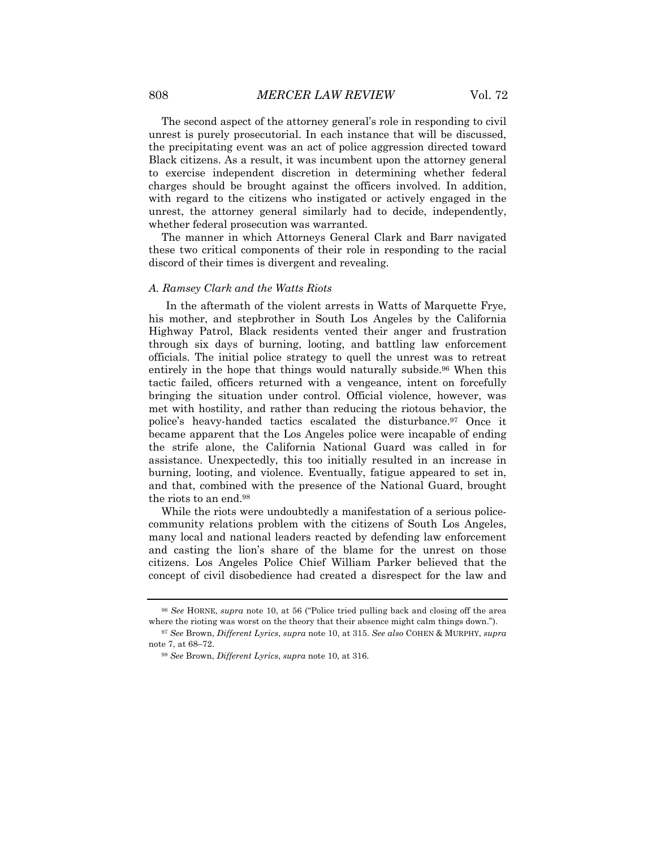The second aspect of the attorney general's role in responding to civil unrest is purely prosecutorial. In each instance that will be discussed, the precipitating event was an act of police aggression directed toward Black citizens. As a result, it was incumbent upon the attorney general to exercise independent discretion in determining whether federal charges should be brought against the officers involved. In addition, with regard to the citizens who instigated or actively engaged in the unrest, the attorney general similarly had to decide, independently, whether federal prosecution was warranted.

The manner in which Attorneys General Clark and Barr navigated these two critical components of their role in responding to the racial discord of their times is divergent and revealing.

#### *A. Ramsey Clark and the Watts Riots*

In the aftermath of the violent arrests in Watts of Marquette Frye, his mother, and stepbrother in South Los Angeles by the California Highway Patrol, Black residents vented their anger and frustration through six days of burning, looting, and battling law enforcement officials. The initial police strategy to quell the unrest was to retreat entirely in the hope that things would naturally subside.96 When this tactic failed, officers returned with a vengeance, intent on forcefully bringing the situation under control. Official violence, however, was met with hostility, and rather than reducing the riotous behavior, the police's heavy-handed tactics escalated the disturbance.97 Once it became apparent that the Los Angeles police were incapable of ending the strife alone, the California National Guard was called in for assistance. Unexpectedly, this too initially resulted in an increase in burning, looting, and violence. Eventually, fatigue appeared to set in, and that, combined with the presence of the National Guard, brought the riots to an end.98

While the riots were undoubtedly a manifestation of a serious policecommunity relations problem with the citizens of South Los Angeles, many local and national leaders reacted by defending law enforcement and casting the lion's share of the blame for the unrest on those citizens. Los Angeles Police Chief William Parker believed that the concept of civil disobedience had created a disrespect for the law and

<sup>96</sup> *See* HORNE, *supra* note 10, at 56 ("Police tried pulling back and closing off the area where the rioting was worst on the theory that their absence might calm things down.").

<sup>97</sup> *See* Brown, *Different Lyrics*, *supra* note 10, at 315. *See also* COHEN & MURPHY, *supra*  note 7, at 68–72.

<sup>98</sup> *See* Brown, *Different Lyrics*, *supra* note 10, at 316.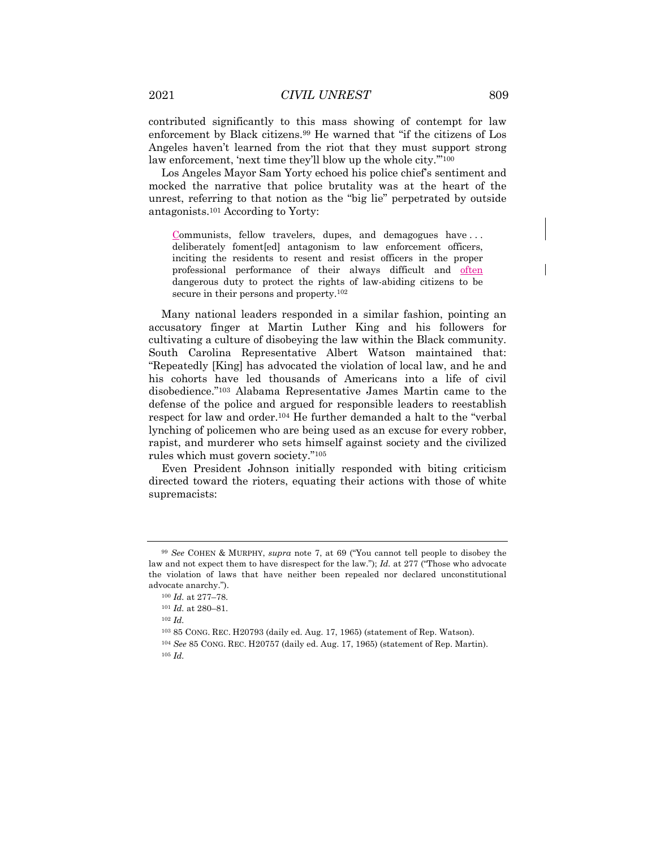contributed significantly to this mass showing of contempt for law enforcement by Black citizens.99 He warned that "if the citizens of Los Angeles haven't learned from the riot that they must support strong law enforcement, 'next time they'll blow up the whole city."<sup>100</sup>

Los Angeles Mayor Sam Yorty echoed his police chief's sentiment and mocked the narrative that police brutality was at the heart of the unrest, referring to that notion as the "big lie" perpetrated by outside antagonists.101 According to Yorty:

Communists, fellow travelers, dupes, and demagogues have . . . deliberately foment[ed] antagonism to law enforcement officers, inciting the residents to resent and resist officers in the proper professional performance of their always difficult and often dangerous duty to protect the rights of law-abiding citizens to be secure in their persons and property.<sup>102</sup>

Many national leaders responded in a similar fashion, pointing an accusatory finger at Martin Luther King and his followers for cultivating a culture of disobeying the law within the Black community. South Carolina Representative Albert Watson maintained that: "Repeatedly [King] has advocated the violation of local law, and he and his cohorts have led thousands of Americans into a life of civil disobedience."103 Alabama Representative James Martin came to the defense of the police and argued for responsible leaders to reestablish respect for law and order.104 He further demanded a halt to the "verbal lynching of policemen who are being used as an excuse for every robber, rapist, and murderer who sets himself against society and the civilized rules which must govern society."105

Even President Johnson initially responded with biting criticism directed toward the rioters, equating their actions with those of white supremacists:

<sup>99</sup> *See* COHEN & MURPHY, *supra* note 7, at 69 ("You cannot tell people to disobey the law and not expect them to have disrespect for the law."); *Id.* at 277 ("Those who advocate the violation of laws that have neither been repealed nor declared unconstitutional advocate anarchy.").

<sup>100</sup> *Id.* at 277–78.

<sup>101</sup> *Id.* at 280–81.

<sup>102</sup> *Id.*

<sup>103</sup> 85 CONG. REC. H20793 (daily ed. Aug. 17, 1965) (statement of Rep. Watson).

<sup>104</sup> *See* 85 CONG. REC. H20757 (daily ed. Aug. 17, 1965) (statement of Rep. Martin). <sup>105</sup> *Id.*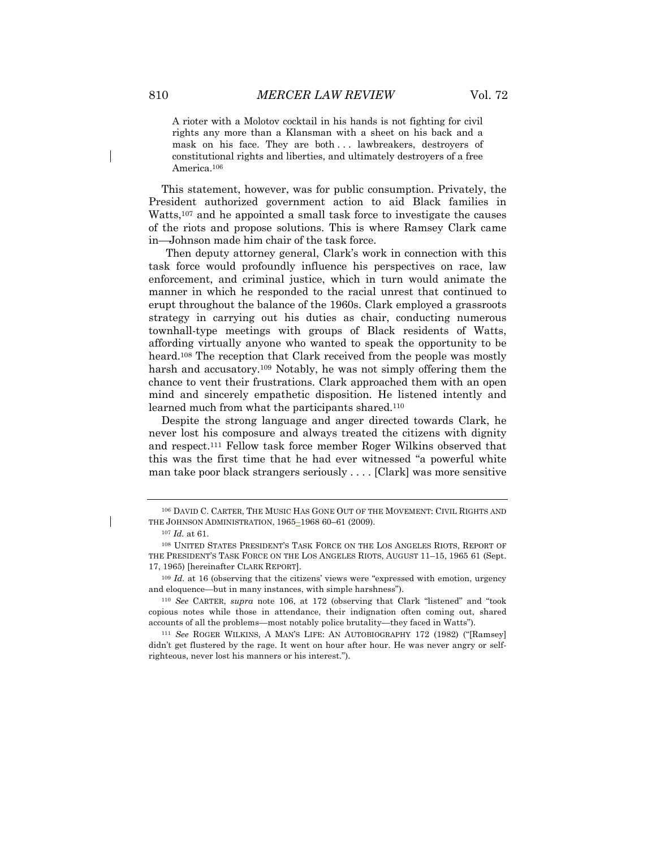A rioter with a Molotov cocktail in his hands is not fighting for civil rights any more than a Klansman with a sheet on his back and a mask on his face. They are both . . . lawbreakers, destroyers of constitutional rights and liberties, and ultimately destroyers of a free America.<sup>106</sup>

This statement, however, was for public consumption. Privately, the President authorized government action to aid Black families in Watts,107 and he appointed a small task force to investigate the causes of the riots and propose solutions. This is where Ramsey Clark came in—Johnson made him chair of the task force.

Then deputy attorney general, Clark's work in connection with this task force would profoundly influence his perspectives on race, law enforcement, and criminal justice, which in turn would animate the manner in which he responded to the racial unrest that continued to erupt throughout the balance of the 1960s. Clark employed a grassroots strategy in carrying out his duties as chair, conducting numerous townhall-type meetings with groups of Black residents of Watts, affording virtually anyone who wanted to speak the opportunity to be heard.<sup>108</sup> The reception that Clark received from the people was mostly harsh and accusatory.<sup>109</sup> Notably, he was not simply offering them the chance to vent their frustrations. Clark approached them with an open mind and sincerely empathetic disposition. He listened intently and learned much from what the participants shared.110

Despite the strong language and anger directed towards Clark, he never lost his composure and always treated the citizens with dignity and respect.111 Fellow task force member Roger Wilkins observed that this was the first time that he had ever witnessed "a powerful white man take poor black strangers seriously . . . . [Clark] was more sensitive

<sup>106</sup> DAVID C. CARTER, THE MUSIC HAS GONE OUT OF THE MOVEMENT: CIVIL RIGHTS AND THE JOHNSON ADMINISTRATION, 1965–1968 60–61 (2009).

<sup>107</sup> *Id.* at 61.

<sup>108</sup> UNITED STATES PRESIDENT'S TASK FORCE ON THE LOS ANGELES RIOTS, REPORT OF THE PRESIDENT'S TASK FORCE ON THE LOS ANGELES RIOTS, AUGUST 11–15, 1965 61 (Sept. 17, 1965) [hereinafter CLARK REPORT].

<sup>&</sup>lt;sup>109</sup> *Id.* at 16 (observing that the citizens' views were "expressed with emotion, urgency and eloquence—but in many instances, with simple harshness").

<sup>110</sup> *See* CARTER, *supra* note 106, at 172 (observing that Clark "listened" and "took copious notes while those in attendance, their indignation often coming out, shared accounts of all the problems—most notably police brutality—they faced in Watts").

<sup>111</sup> *See* ROGER WILKINS, A MAN'S LIFE: AN AUTOBIOGRAPHY 172 (1982) ("[Ramsey] didn't get flustered by the rage. It went on hour after hour. He was never angry or selfrighteous, never lost his manners or his interest.").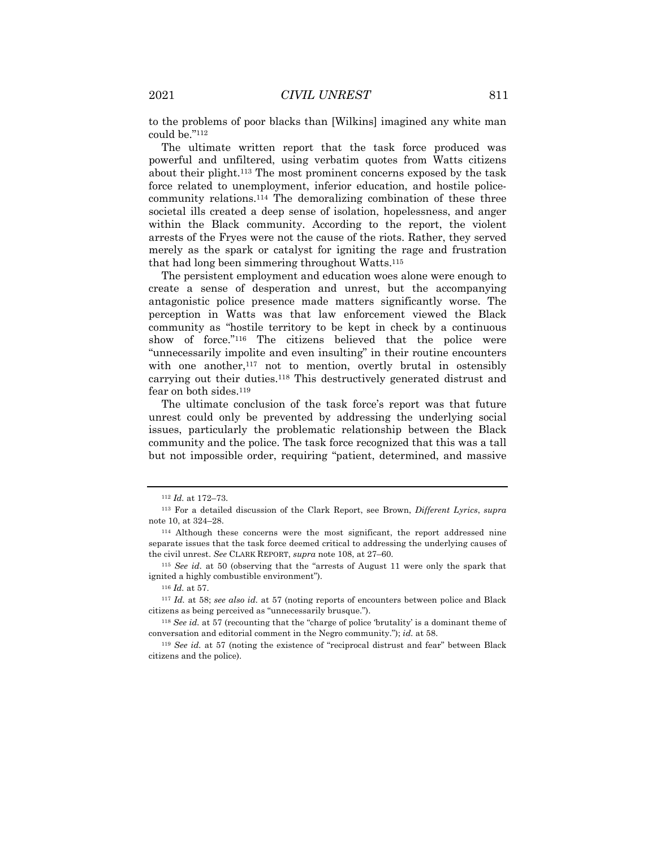to the problems of poor blacks than [Wilkins] imagined any white man could be."112

The ultimate written report that the task force produced was powerful and unfiltered, using verbatim quotes from Watts citizens about their plight.113 The most prominent concerns exposed by the task force related to unemployment, inferior education, and hostile policecommunity relations.114 The demoralizing combination of these three societal ills created a deep sense of isolation, hopelessness, and anger within the Black community. According to the report, the violent arrests of the Fryes were not the cause of the riots. Rather, they served merely as the spark or catalyst for igniting the rage and frustration that had long been simmering throughout Watts.115

The persistent employment and education woes alone were enough to create a sense of desperation and unrest, but the accompanying antagonistic police presence made matters significantly worse. The perception in Watts was that law enforcement viewed the Black community as "hostile territory to be kept in check by a continuous show of force."116 The citizens believed that the police were "unnecessarily impolite and even insulting" in their routine encounters with one another,<sup>117</sup> not to mention, overtly brutal in ostensibly carrying out their duties.118 This destructively generated distrust and fear on both sides.119

The ultimate conclusion of the task force's report was that future unrest could only be prevented by addressing the underlying social issues, particularly the problematic relationship between the Black community and the police. The task force recognized that this was a tall but not impossible order, requiring "patient, determined, and massive

<sup>112</sup> *Id.* at 172–73.

<sup>113</sup> For a detailed discussion of the Clark Report, see Brown, *Different Lyrics*, *supra* note 10, at 324–28.

<sup>114</sup> Although these concerns were the most significant, the report addressed nine separate issues that the task force deemed critical to addressing the underlying causes of the civil unrest. *See* CLARK REPORT, *supra* note 108, at 27–60.

<sup>115</sup> *See id.* at 50 (observing that the "arrests of August 11 were only the spark that ignited a highly combustible environment").

<sup>116</sup> *Id.* at 57.

<sup>117</sup> *Id.* at 58; *see also id.* at 57 (noting reports of encounters between police and Black citizens as being perceived as "unnecessarily brusque.").

<sup>118</sup> *See id.* at 57 (recounting that the "charge of police 'brutality' is a dominant theme of conversation and editorial comment in the Negro community."); *id.* at 58.

<sup>119</sup> *See id.* at 57 (noting the existence of "reciprocal distrust and fear" between Black citizens and the police).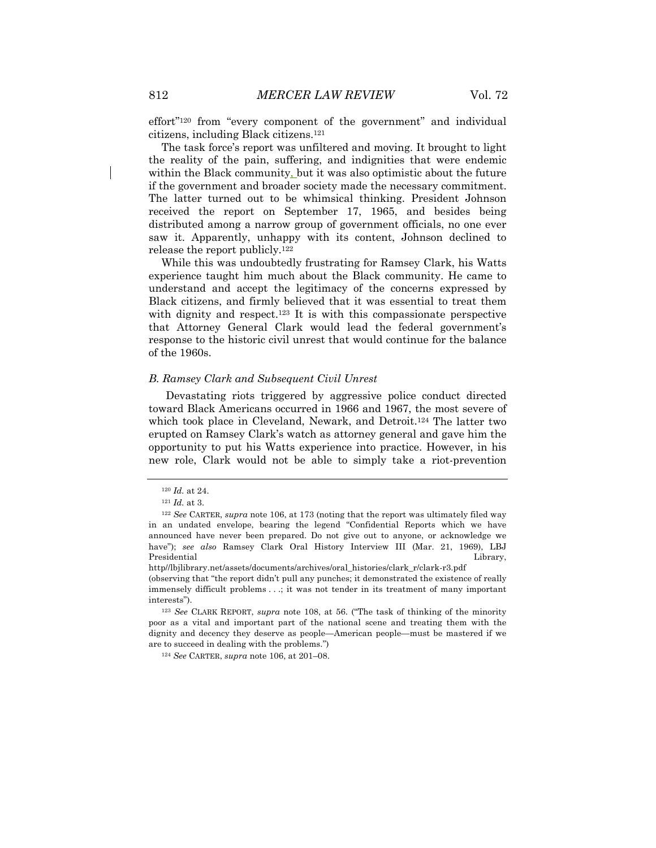effort"120 from "every component of the government" and individual citizens, including Black citizens.121

The task force's report was unfiltered and moving. It brought to light the reality of the pain, suffering, and indignities that were endemic within the Black community, but it was also optimistic about the future if the government and broader society made the necessary commitment. The latter turned out to be whimsical thinking. President Johnson received the report on September 17, 1965, and besides being distributed among a narrow group of government officials, no one ever saw it. Apparently, unhappy with its content, Johnson declined to release the report publicly.122

While this was undoubtedly frustrating for Ramsey Clark, his Watts experience taught him much about the Black community. He came to understand and accept the legitimacy of the concerns expressed by Black citizens, and firmly believed that it was essential to treat them with dignity and respect.<sup>123</sup> It is with this compassionate perspective that Attorney General Clark would lead the federal government's response to the historic civil unrest that would continue for the balance of the 1960s.

#### *B. Ramsey Clark and Subsequent Civil Unrest*

Devastating riots triggered by aggressive police conduct directed toward Black Americans occurred in 1966 and 1967, the most severe of which took place in Cleveland, Newark, and Detroit.<sup>124</sup> The latter two erupted on Ramsey Clark's watch as attorney general and gave him the opportunity to put his Watts experience into practice. However, in his new role, Clark would not be able to simply take a riot-prevention

http//lbjlibrary.net/assets/documents/archives/oral\_histories/clark\_r/clark-r3.pdf

(observing that "the report didn't pull any punches; it demonstrated the existence of really immensely difficult problems . . .; it was not tender in its treatment of many important interests").

<sup>124</sup> *See* CARTER, *supra* note 106, at 201–08.

<sup>120</sup> *Id.* at 24.

<sup>121</sup> *Id.* at 3.

<sup>122</sup> *See* CARTER, *supra* note 106, at 173 (noting that the report was ultimately filed way in an undated envelope, bearing the legend "Confidential Reports which we have announced have never been prepared. Do not give out to anyone, or acknowledge we have"); *see also* Ramsey Clark Oral History Interview III (Mar. 21, 1969), LBJ Presidential Library, and the contract of the contract of the contract of the contract of the contract of the contract of the contract of the contract of the contract of the contract of the contract of the contract of the

<sup>123</sup> *See* CLARK REPORT, *supra* note 108, at 56. ("The task of thinking of the minority poor as a vital and important part of the national scene and treating them with the dignity and decency they deserve as people—American people—must be mastered if we are to succeed in dealing with the problems.")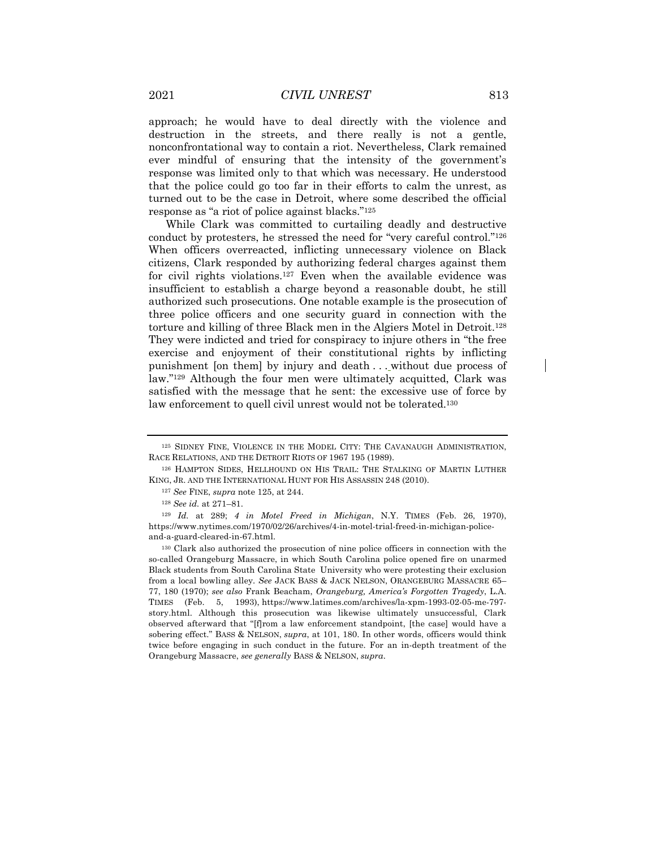approach; he would have to deal directly with the violence and destruction in the streets, and there really is not a gentle, nonconfrontational way to contain a riot. Nevertheless, Clark remained ever mindful of ensuring that the intensity of the government's response was limited only to that which was necessary. He understood that the police could go too far in their efforts to calm the unrest, as turned out to be the case in Detroit, where some described the official response as "a riot of police against blacks."125

While Clark was committed to curtailing deadly and destructive conduct by protesters, he stressed the need for "very careful control."126 When officers overreacted, inflicting unnecessary violence on Black citizens, Clark responded by authorizing federal charges against them for civil rights violations.127 Even when the available evidence was insufficient to establish a charge beyond a reasonable doubt, he still authorized such prosecutions. One notable example is the prosecution of three police officers and one security guard in connection with the torture and killing of three Black men in the Algiers Motel in Detroit.128 They were indicted and tried for conspiracy to injure others in "the free exercise and enjoyment of their constitutional rights by inflicting punishment [on them] by injury and death . . . without due process of law."129 Although the four men were ultimately acquitted, Clark was satisfied with the message that he sent: the excessive use of force by law enforcement to quell civil unrest would not be tolerated.<sup>130</sup>

<sup>125</sup> SIDNEY FINE, VIOLENCE IN THE MODEL CITY: THE CAVANAUGH ADMINISTRATION, RACE RELATIONS, AND THE DETROIT RIOTS OF 1967 195 (1989).

<sup>126</sup> HAMPTON SIDES, HELLHOUND ON HIS TRAIL: THE STALKING OF MARTIN LUTHER KING, JR. AND THE INTERNATIONAL HUNT FOR HIS ASSASSIN 248 (2010).

<sup>127</sup> *See* FINE, *supra* note 125, at 244.

<sup>128</sup> *See id.* at 271–81.

<sup>129</sup> *Id.* at 289; *4 in Motel Freed in Michigan*, N.Y. TIMES (Feb. 26, 1970), https://www.nytimes.com/1970/02/26/archives/4-in-motel-trial-freed-in-michigan-policeand-a-guard-cleared-in-67.html.

<sup>130</sup> Clark also authorized the prosecution of nine police officers in connection with the so-called Orangeburg Massacre, in which South Carolina police opened fire on unarmed Black students from South Carolina State University who were protesting their exclusion from a local bowling alley. *See* JACK BASS & JACK NELSON, ORANGEBURG MASSACRE 65– 77, 180 (1970); *see also* Frank Beacham, *Orangeburg, America's Forgotten Tragedy*, L.A. TIMES (Feb. 5, 1993), https://www.latimes.com/archives/la-xpm-1993-02-05-me-797 story.html. Although this prosecution was likewise ultimately unsuccessful, Clark observed afterward that "[f]rom a law enforcement standpoint, [the case] would have a sobering effect." BASS & NELSON, *supra*, at 101, 180. In other words, officers would think twice before engaging in such conduct in the future. For an in-depth treatment of the Orangeburg Massacre, *see generally* BASS & NELSON, *supra*.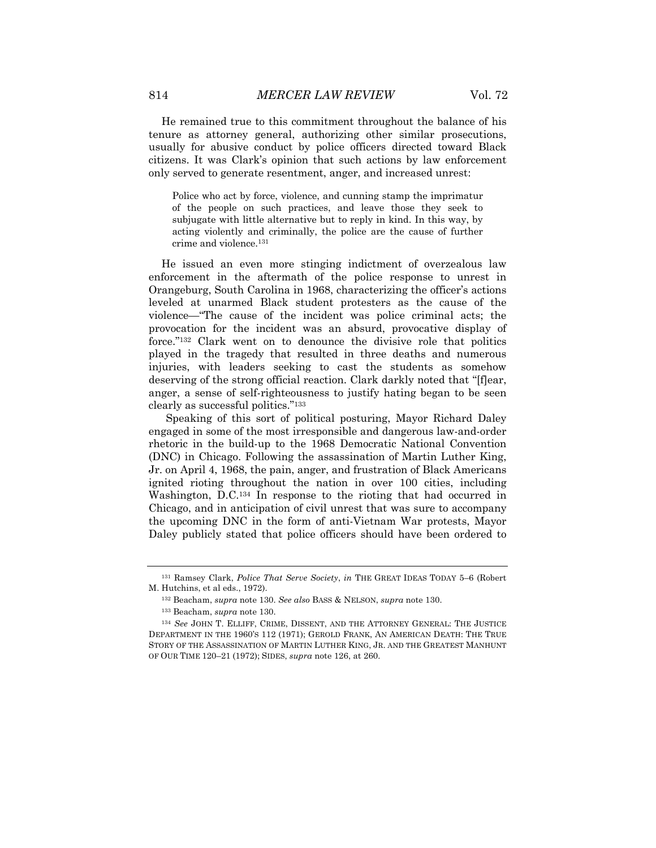He remained true to this commitment throughout the balance of his tenure as attorney general, authorizing other similar prosecutions, usually for abusive conduct by police officers directed toward Black citizens. It was Clark's opinion that such actions by law enforcement only served to generate resentment, anger, and increased unrest:

Police who act by force, violence, and cunning stamp the imprimatur of the people on such practices, and leave those they seek to subjugate with little alternative but to reply in kind. In this way, by acting violently and criminally, the police are the cause of further crime and violence.131

He issued an even more stinging indictment of overzealous law enforcement in the aftermath of the police response to unrest in Orangeburg, South Carolina in 1968, characterizing the officer's actions leveled at unarmed Black student protesters as the cause of the violence—"The cause of the incident was police criminal acts; the provocation for the incident was an absurd, provocative display of force."132 Clark went on to denounce the divisive role that politics played in the tragedy that resulted in three deaths and numerous injuries, with leaders seeking to cast the students as somehow deserving of the strong official reaction. Clark darkly noted that "[f]ear, anger, a sense of self-righteousness to justify hating began to be seen clearly as successful politics."133

Speaking of this sort of political posturing, Mayor Richard Daley engaged in some of the most irresponsible and dangerous law-and-order rhetoric in the build-up to the 1968 Democratic National Convention (DNC) in Chicago. Following the assassination of Martin Luther King, Jr. on April 4, 1968, the pain, anger, and frustration of Black Americans ignited rioting throughout the nation in over 100 cities, including Washington, D.C.134 In response to the rioting that had occurred in Chicago, and in anticipation of civil unrest that was sure to accompany the upcoming DNC in the form of anti-Vietnam War protests, Mayor Daley publicly stated that police officers should have been ordered to

<sup>131</sup> Ramsey Clark, *Police That Serve Society*, *in* THE GREAT IDEAS TODAY 5–6 (Robert M. Hutchins, et al eds., 1972).

<sup>132</sup> Beacham, *supra* note 130. *See also* BASS & NELSON, *supra* note 130.

<sup>133</sup> Beacham, *supra* note 130.

<sup>134</sup> *See* JOHN T. ELLIFF, CRIME, DISSENT, AND THE ATTORNEY GENERAL: THE JUSTICE DEPARTMENT IN THE 1960'S 112 (1971); GEROLD FRANK, AN AMERICAN DEATH: THE TRUE STORY OF THE ASSASSINATION OF MARTIN LUTHER KING, JR. AND THE GREATEST MANHUNT OF OUR TIME 120–21 (1972); SIDES, *supra* note 126, at 260.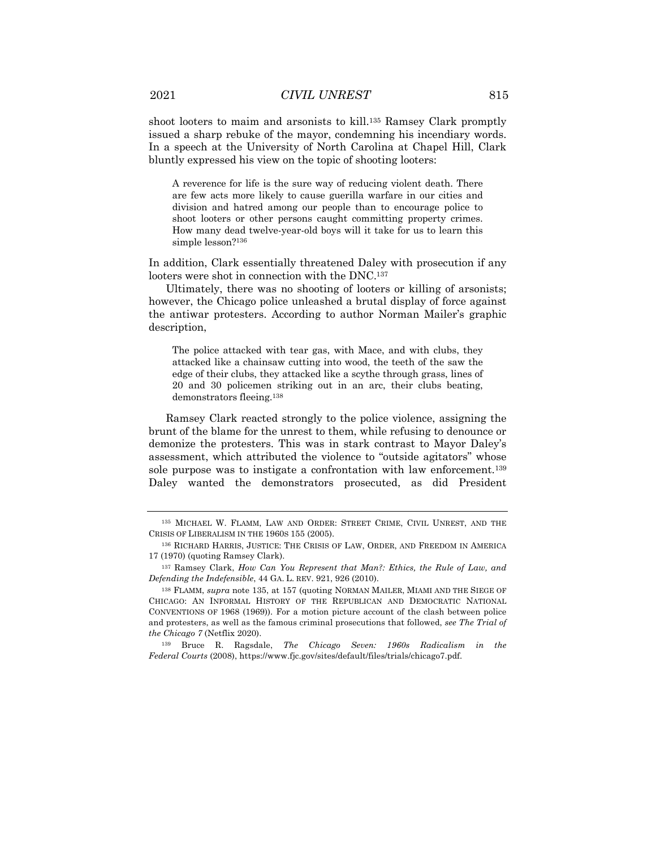shoot looters to maim and arsonists to kill.135 Ramsey Clark promptly issued a sharp rebuke of the mayor, condemning his incendiary words. In a speech at the University of North Carolina at Chapel Hill, Clark bluntly expressed his view on the topic of shooting looters:

A reverence for life is the sure way of reducing violent death. There are few acts more likely to cause guerilla warfare in our cities and division and hatred among our people than to encourage police to shoot looters or other persons caught committing property crimes. How many dead twelve-year-old boys will it take for us to learn this simple lesson?136

In addition, Clark essentially threatened Daley with prosecution if any looters were shot in connection with the DNC.137

Ultimately, there was no shooting of looters or killing of arsonists; however, the Chicago police unleashed a brutal display of force against the antiwar protesters. According to author Norman Mailer's graphic description,

The police attacked with tear gas, with Mace, and with clubs, they attacked like a chainsaw cutting into wood, the teeth of the saw the edge of their clubs, they attacked like a scythe through grass, lines of 20 and 30 policemen striking out in an arc, their clubs beating, demonstrators fleeing.138

Ramsey Clark reacted strongly to the police violence, assigning the brunt of the blame for the unrest to them, while refusing to denounce or demonize the protesters. This was in stark contrast to Mayor Daley's assessment, which attributed the violence to "outside agitators" whose sole purpose was to instigate a confrontation with law enforcement.139 Daley wanted the demonstrators prosecuted, as did President

<sup>135</sup> MICHAEL W. FLAMM, LAW AND ORDER: STREET CRIME, CIVIL UNREST, AND THE CRISIS OF LIBERALISM IN THE 1960S 155 (2005).

<sup>136</sup> RICHARD HARRIS, JUSTICE: THE CRISIS OF LAW, ORDER, AND FREEDOM IN AMERICA 17 (1970) (quoting Ramsey Clark).

<sup>137</sup> Ramsey Clark, *How Can You Represent that Man?: Ethics, the Rule of Law, and Defending the Indefensible*, 44 GA. L. REV. 921, 926 (2010).

<sup>138</sup> FLAMM, *supra* note 135, at 157 (quoting NORMAN MAILER, MIAMI AND THE SIEGE OF CHICAGO: AN INFORMAL HISTORY OF THE REPUBLICAN AND DEMOCRATIC NATIONAL CONVENTIONS OF 1968 (1969)). For a motion picture account of the clash between police and protesters, as well as the famous criminal prosecutions that followed, *see The Trial of the Chicago 7* (Netflix 2020).

<sup>139</sup> Bruce R. Ragsdale, *The Chicago Seven: 1960s Radicalism in the Federal Courts* (2008), https://www.fjc.gov/sites/default/files/trials/chicago7.pdf.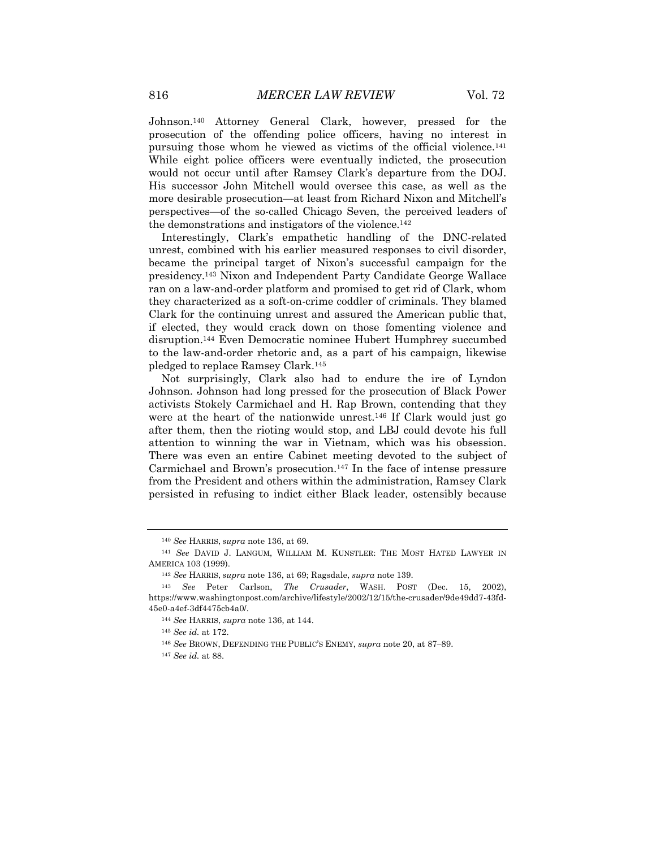Johnson.140 Attorney General Clark, however, pressed for the prosecution of the offending police officers, having no interest in pursuing those whom he viewed as victims of the official violence.141 While eight police officers were eventually indicted, the prosecution would not occur until after Ramsey Clark's departure from the DOJ. His successor John Mitchell would oversee this case, as well as the more desirable prosecution—at least from Richard Nixon and Mitchell's perspectives—of the so-called Chicago Seven, the perceived leaders of the demonstrations and instigators of the violence.142

Interestingly, Clark's empathetic handling of the DNC-related unrest, combined with his earlier measured responses to civil disorder, became the principal target of Nixon's successful campaign for the presidency.143 Nixon and Independent Party Candidate George Wallace ran on a law-and-order platform and promised to get rid of Clark, whom they characterized as a soft-on-crime coddler of criminals. They blamed Clark for the continuing unrest and assured the American public that, if elected, they would crack down on those fomenting violence and disruption.144 Even Democratic nominee Hubert Humphrey succumbed to the law-and-order rhetoric and, as a part of his campaign, likewise pledged to replace Ramsey Clark.145

Not surprisingly, Clark also had to endure the ire of Lyndon Johnson. Johnson had long pressed for the prosecution of Black Power activists Stokely Carmichael and H. Rap Brown, contending that they were at the heart of the nationwide unrest.146 If Clark would just go after them, then the rioting would stop, and LBJ could devote his full attention to winning the war in Vietnam, which was his obsession. There was even an entire Cabinet meeting devoted to the subject of Carmichael and Brown's prosecution.147 In the face of intense pressure from the President and others within the administration, Ramsey Clark persisted in refusing to indict either Black leader, ostensibly because

<sup>145</sup> *See id.* at 172.

<sup>140</sup> *See* HARRIS, *supra* note 136, at 69.

<sup>141</sup> *See* DAVID J. LANGUM, WILLIAM M. KUNSTLER: THE MOST HATED LAWYER IN AMERICA 103 (1999).

<sup>142</sup> *See* HARRIS, *supra* note 136, at 69; Ragsdale, *supra* note 139.

<sup>143</sup> *See* Peter Carlson, *The Crusader*, WASH. POST (Dec. 15, 2002), https://www.washingtonpost.com/archive/lifestyle/2002/12/15/the-crusader/9de49dd7-43fd-45e0-a4ef-3df4475cb4a0/.

<sup>144</sup> *See* HARRIS, *supra* note 136, at 144.

<sup>&</sup>lt;sup>146</sup> See BROWN, DEFENDING THE PUBLIC'S ENEMY, *supra* note 20, at 87-89.

<sup>147</sup> *See id.* at 88.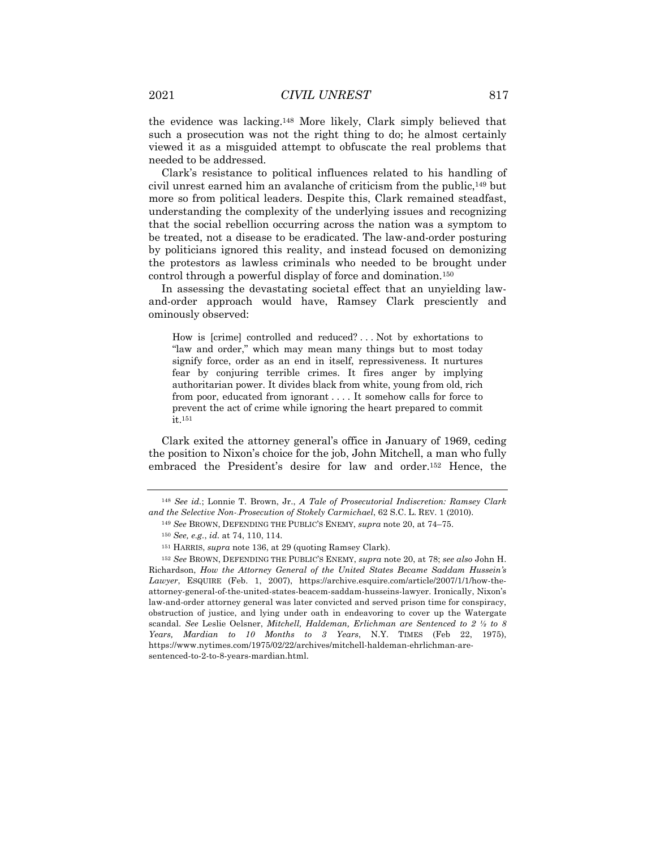the evidence was lacking.148 More likely, Clark simply believed that such a prosecution was not the right thing to do; he almost certainly viewed it as a misguided attempt to obfuscate the real problems that needed to be addressed.

Clark's resistance to political influences related to his handling of civil unrest earned him an avalanche of criticism from the public,149 but more so from political leaders. Despite this, Clark remained steadfast, understanding the complexity of the underlying issues and recognizing that the social rebellion occurring across the nation was a symptom to be treated, not a disease to be eradicated. The law-and-order posturing by politicians ignored this reality, and instead focused on demonizing the protestors as lawless criminals who needed to be brought under control through a powerful display of force and domination.150

In assessing the devastating societal effect that an unyielding lawand-order approach would have, Ramsey Clark presciently and ominously observed:

How is [crime] controlled and reduced? . . . Not by exhortations to "law and order," which may mean many things but to most today signify force, order as an end in itself, repressiveness. It nurtures fear by conjuring terrible crimes. It fires anger by implying authoritarian power. It divides black from white, young from old, rich from poor, educated from ignorant . . . . It somehow calls for force to prevent the act of crime while ignoring the heart prepared to commit it.151

Clark exited the attorney general's office in January of 1969, ceding the position to Nixon's choice for the job, John Mitchell, a man who fully embraced the President's desire for law and order.152 Hence, the

<sup>148</sup> *See id.*; Lonnie T. Brown, Jr., *A Tale of Prosecutorial Indiscretion: Ramsey Clark and the Selective Non--Prosecution of Stokely Carmichael*, 62 S.C. L. REV. 1 (2010).

<sup>149</sup> *See* BROWN, DEFENDING THE PUBLIC'S ENEMY, *supra* note 20, at 74–75.

<sup>150</sup> *See, e.g.*, *id.* at 74, 110, 114.

<sup>151</sup> HARRIS, *supra* note 136, at 29 (quoting Ramsey Clark).

<sup>152</sup> *See* BROWN, DEFENDING THE PUBLIC'S ENEMY, *supra* note 20, at 78; *see also* John H. Richardson, *How the Attorney General of the United States Became Saddam Hussein's Lawyer*, ESQUIRE (Feb. 1, 2007), https://archive.esquire.com/article/2007/1/1/how-theattorney-general-of-the-united-states-beacem-saddam-husseins-lawyer. Ironically, Nixon's law-and-order attorney general was later convicted and served prison time for conspiracy, obstruction of justice, and lying under oath in endeavoring to cover up the Watergate scandal. *See* Leslie Oelsner, *Mitchell, Haldeman, Erlichman are Sentenced to 2 ½ to 8 Years, Mardian to 10 Months to 3 Years*, N.Y. TIMES (Feb 22, 1975), https://www.nytimes.com/1975/02/22/archives/mitchell-haldeman-ehrlichman-aresentenced-to-2-to-8-years-mardian.html.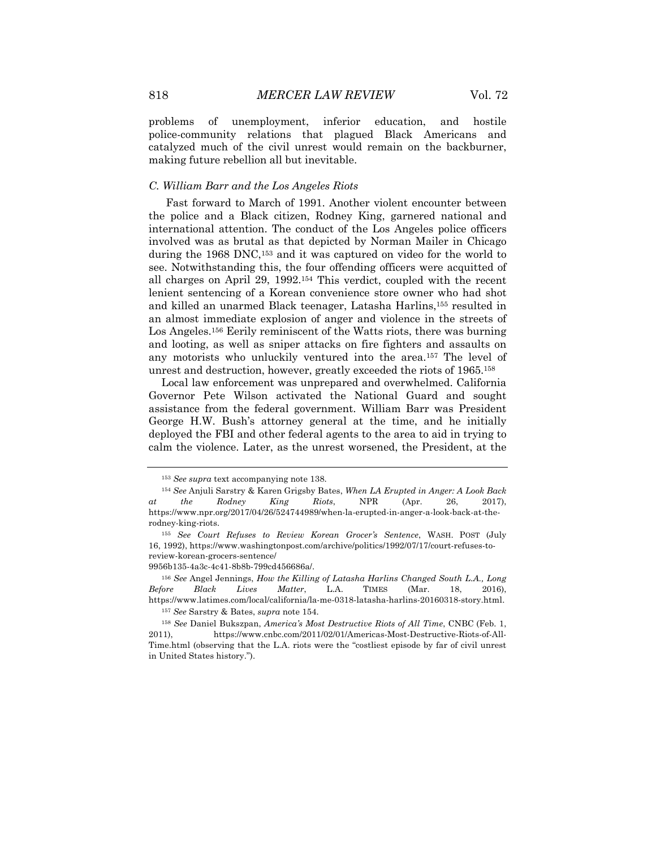problems of unemployment, inferior education, and hostile police-community relations that plagued Black Americans and catalyzed much of the civil unrest would remain on the backburner, making future rebellion all but inevitable.

#### *C. William Barr and the Los Angeles Riots*

Fast forward to March of 1991. Another violent encounter between the police and a Black citizen, Rodney King, garnered national and international attention. The conduct of the Los Angeles police officers involved was as brutal as that depicted by Norman Mailer in Chicago during the 1968 DNC,153 and it was captured on video for the world to see. Notwithstanding this, the four offending officers were acquitted of all charges on April 29, 1992.154 This verdict, coupled with the recent lenient sentencing of a Korean convenience store owner who had shot and killed an unarmed Black teenager, Latasha Harlins,155 resulted in an almost immediate explosion of anger and violence in the streets of Los Angeles.156 Eerily reminiscent of the Watts riots, there was burning and looting, as well as sniper attacks on fire fighters and assaults on any motorists who unluckily ventured into the area.157 The level of unrest and destruction, however, greatly exceeded the riots of 1965.158

Local law enforcement was unprepared and overwhelmed. California Governor Pete Wilson activated the National Guard and sought assistance from the federal government. William Barr was President George H.W. Bush's attorney general at the time, and he initially deployed the FBI and other federal agents to the area to aid in trying to calm the violence. Later, as the unrest worsened, the President, at the

<sup>153</sup> *See supra* text accompanying note 138.

<sup>154</sup> *See* Anjuli Sarstry & Karen Grigsby Bates, *When LA Erupted in Anger: A Look Back at the Rodney King Riots*, NPR (Apr. 26, 2017), https://www.npr.org/2017/04/26/524744989/when-la-erupted-in-anger-a-look-back-at-therodney-king-riots.

<sup>155</sup> *See Court Refuses to Review Korean Grocer's Sentence*, WASH. POST (July 16, 1992), https://www.washingtonpost.com/archive/politics/1992/07/17/court-refuses-toreview-korean-grocers-sentence/

<sup>9956</sup>b135-4a3c-4c41-8b8b-799cd456686a/.

<sup>156</sup> *See* Angel Jennings, *How the Killing of Latasha Harlins Changed South L.A., Long Before Black Lives Matter*, L.A. TIMES (Mar. 18, 2016), https://www.latimes.com/local/california/la-me-0318-latasha-harlins-20160318-story.html. <sup>157</sup> *See* Sarstry & Bates, *supra* note 154.

<sup>158</sup> *See* Daniel Bukszpan, *America's Most Destructive Riots of All Time*, CNBC (Feb. 1, 2011), https://www.cnbc.com/2011/02/01/Americas-Most-Destructive-Riots-of-All-Time.html (observing that the L.A. riots were the "costliest episode by far of civil unrest in United States history.").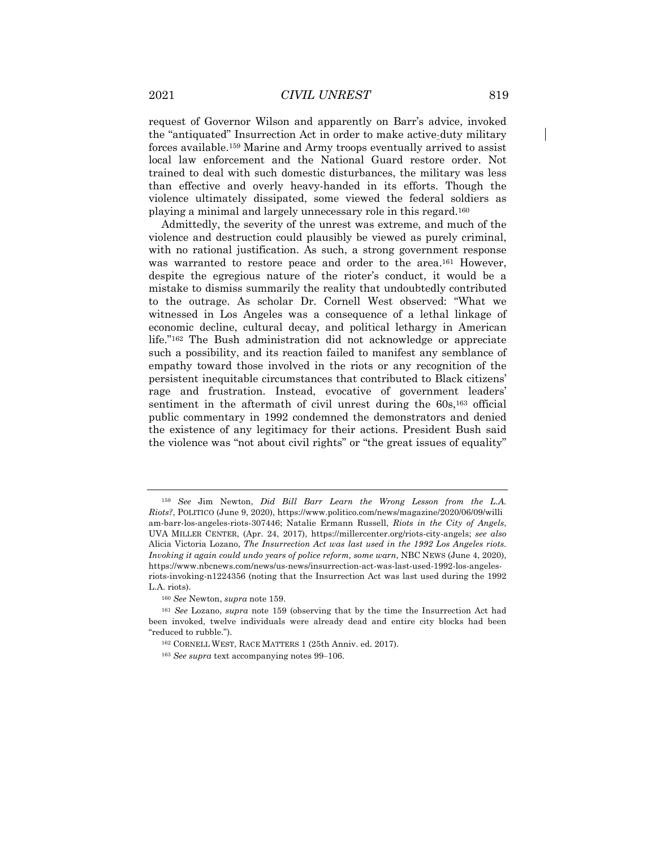request of Governor Wilson and apparently on Barr's advice, invoked the "antiquated" Insurrection Act in order to make active-duty military forces available.159 Marine and Army troops eventually arrived to assist local law enforcement and the National Guard restore order. Not trained to deal with such domestic disturbances, the military was less than effective and overly heavy-handed in its efforts. Though the violence ultimately dissipated, some viewed the federal soldiers as playing a minimal and largely unnecessary role in this regard.160

Admittedly, the severity of the unrest was extreme, and much of the violence and destruction could plausibly be viewed as purely criminal, with no rational justification. As such, a strong government response was warranted to restore peace and order to the area.<sup>161</sup> However, despite the egregious nature of the rioter's conduct, it would be a mistake to dismiss summarily the reality that undoubtedly contributed to the outrage. As scholar Dr. Cornell West observed: "What we witnessed in Los Angeles was a consequence of a lethal linkage of economic decline, cultural decay, and political lethargy in American life."162 The Bush administration did not acknowledge or appreciate such a possibility, and its reaction failed to manifest any semblance of empathy toward those involved in the riots or any recognition of the persistent inequitable circumstances that contributed to Black citizens' rage and frustration. Instead, evocative of government leaders' sentiment in the aftermath of civil unrest during the 60s,<sup>163</sup> official public commentary in 1992 condemned the demonstrators and denied the existence of any legitimacy for their actions. President Bush said the violence was "not about civil rights" or "the great issues of equality"

<sup>159</sup> *See* Jim Newton, *Did Bill Barr Learn the Wrong Lesson from the L.A. Riots?*, POLITICO (June 9, 2020), https://www.politico.com/news/magazine/2020/06/09/willi am-barr-los-angeles-riots-307446; Natalie Ermann Russell, *Riots in the City of Angels*, UVA MILLER CENTER, (Apr. 24, 2017), https://millercenter.org/riots-city-angels; *see also*  Alicia Victoria Lozano, *The Insurrection Act was last used in the 1992 Los Angeles riots. Invoking it again could undo years of police reform, some warn*, NBC NEWS (June 4, 2020), https://www.nbcnews.com/news/us-news/insurrection-act-was-last-used-1992-los-angelesriots-invoking-n1224356 (noting that the Insurrection Act was last used during the 1992 L.A. riots).

<sup>160</sup> *See* Newton, *supra* note 159.

<sup>161</sup> *See* Lozano, *supra* note 159 (observing that by the time the Insurrection Act had been invoked, twelve individuals were already dead and entire city blocks had been "reduced to rubble.").

<sup>162</sup> CORNELL WEST, RACE MATTERS 1 (25th Anniv. ed. 2017).

<sup>&</sup>lt;sup>163</sup> *See supra* text accompanying notes 99–106.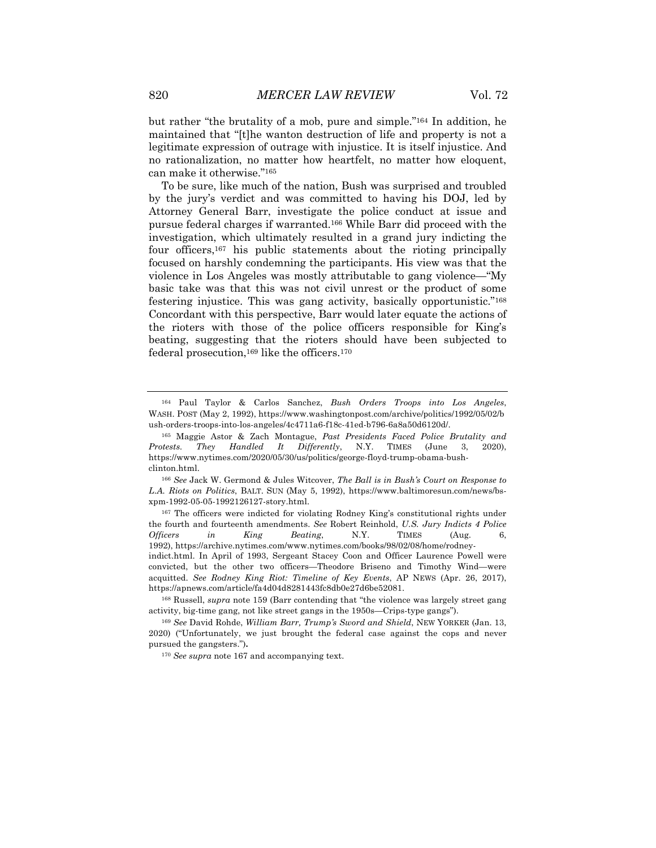but rather "the brutality of a mob, pure and simple."164 In addition, he maintained that "[t]he wanton destruction of life and property is not a legitimate expression of outrage with injustice. It is itself injustice. And no rationalization, no matter how heartfelt, no matter how eloquent, can make it otherwise."165

To be sure, like much of the nation, Bush was surprised and troubled by the jury's verdict and was committed to having his DOJ, led by Attorney General Barr, investigate the police conduct at issue and pursue federal charges if warranted.166 While Barr did proceed with the investigation, which ultimately resulted in a grand jury indicting the four officers,167 his public statements about the rioting principally focused on harshly condemning the participants. His view was that the violence in Los Angeles was mostly attributable to gang violence—"My basic take was that this was not civil unrest or the product of some festering injustice. This was gang activity, basically opportunistic."168 Concordant with this perspective, Barr would later equate the actions of the rioters with those of the police officers responsible for King's beating, suggesting that the rioters should have been subjected to federal prosecution,169 like the officers.170

<sup>164</sup> Paul Taylor & Carlos Sanchez, *Bush Orders Troops into Los Angeles*, WASH. POST (May 2, 1992), https://www.washingtonpost.com/archive/politics/1992/05/02/b ush-orders-troops-into-los-angeles/4c4711a6-f18c-41ed-b796-6a8a50d6120d/.

<sup>165</sup> Maggie Astor & Zach Montague, *Past Presidents Faced Police Brutality and Protests. They Handled It Differently*, N.Y. TIMES (June 3, 2020), https://www.nytimes.com/2020/05/30/us/politics/george-floyd-trump-obama-bushclinton.html.

<sup>166</sup> *See* Jack W. Germond & Jules Witcover, *The Ball is in Bush's Court on Response to L.A. Riots on Politics*, BALT. SUN (May 5, 1992), https://www.baltimoresun.com/news/bsxpm-1992-05-05-1992126127-story.html.

<sup>&</sup>lt;sup>167</sup> The officers were indicted for violating Rodney King's constitutional rights under the fourth and fourteenth amendments. *See* Robert Reinhold, *U.S. Jury Indicts 4 Police Officers in King Beating*, N.Y. TIMES (Aug. 6, 1992), https://archive.nytimes.com/www.nytimes.com/books/98/02/08/home/rodneyindict.html. In April of 1993, Sergeant Stacey Coon and Officer Laurence Powell were convicted, but the other two officers—Theodore Briseno and Timothy Wind—were acquitted. *See Rodney King Riot: Timeline of Key Events*, AP NEWS (Apr. 26, 2017), https://apnews.com/article/fa4d04d8281443fc8db0e27d6be52081.

<sup>168</sup> Russell, *supra* note 159 (Barr contending that "the violence was largely street gang activity, big-time gang, not like street gangs in the 1950s—Crips-type gangs").

<sup>169</sup> *See* David Rohde, *William Barr, Trump's Sword and Shield*, NEW YORKER (Jan. 13, 2020) ("Unfortunately, we just brought the federal case against the cops and never pursued the gangsters.")**.**

<sup>170</sup> *See supra* note 167 and accompanying text.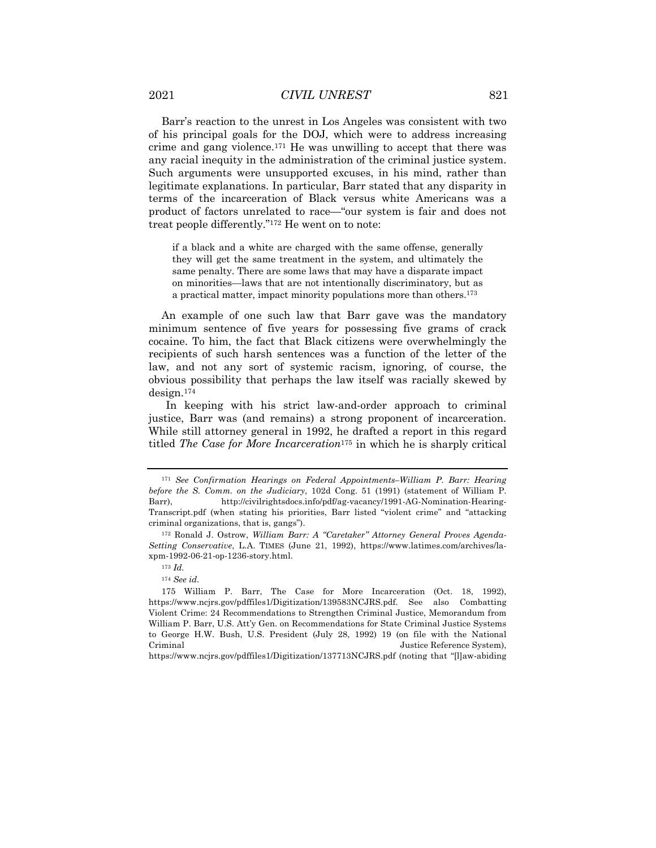Barr's reaction to the unrest in Los Angeles was consistent with two of his principal goals for the DOJ, which were to address increasing crime and gang violence.171 He was unwilling to accept that there was any racial inequity in the administration of the criminal justice system. Such arguments were unsupported excuses, in his mind, rather than legitimate explanations. In particular, Barr stated that any disparity in terms of the incarceration of Black versus white Americans was a product of factors unrelated to race—"our system is fair and does not treat people differently."172 He went on to note:

if a black and a white are charged with the same offense, generally they will get the same treatment in the system, and ultimately the same penalty. There are some laws that may have a disparate impact on minorities—laws that are not intentionally discriminatory, but as a practical matter, impact minority populations more than others.173

An example of one such law that Barr gave was the mandatory minimum sentence of five years for possessing five grams of crack cocaine. To him, the fact that Black citizens were overwhelmingly the recipients of such harsh sentences was a function of the letter of the law, and not any sort of systemic racism, ignoring, of course, the obvious possibility that perhaps the law itself was racially skewed by design.174

In keeping with his strict law-and-order approach to criminal justice, Barr was (and remains) a strong proponent of incarceration. While still attorney general in 1992, he drafted a report in this regard titled *The Case for More Incarceration*<sup>175</sup> in which he is sharply critical

<sup>171</sup> *See Confirmation Hearings on Federal Appointments–William P. Barr: Hearing before the S. Comm. on the Judiciary*, 102d Cong. 51 (1991) (statement of William P. Barr), http://civilrightsdocs.info/pdf/ag-vacancy/1991-AG-Nomination-Hearing-Transcript.pdf (when stating his priorities, Barr listed "violent crime" and "attacking criminal organizations, that is, gangs").

<sup>172</sup> Ronald J. Ostrow, *William Barr: A "Caretaker" Attorney General Proves Agenda-Setting Conservative*, L.A. TIMES (June 21, 1992), https://www.latimes.com/archives/laxpm-1992-06-21-op-1236-story.html.

<sup>173</sup> *Id.*

<sup>174</sup> *See id.*

<sup>175</sup> William P. Barr, The Case for More Incarceration (Oct. 18, 1992), https://www.ncjrs.gov/pdffiles1/Digitization/139583NCJRS.pdf. See also Combatting Violent Crime: 24 Recommendations to Strengthen Criminal Justice, Memorandum from William P. Barr, U.S. Att'y Gen. on Recommendations for State Criminal Justice Systems to George H.W. Bush, U.S. President (July 28, 1992) 19 (on file with the National Criminal Justice Reference System),  $J$ ustice Reference System), https://www.ncjrs.gov/pdffiles1/Digitization/137713NCJRS.pdf (noting that "[l]aw-abiding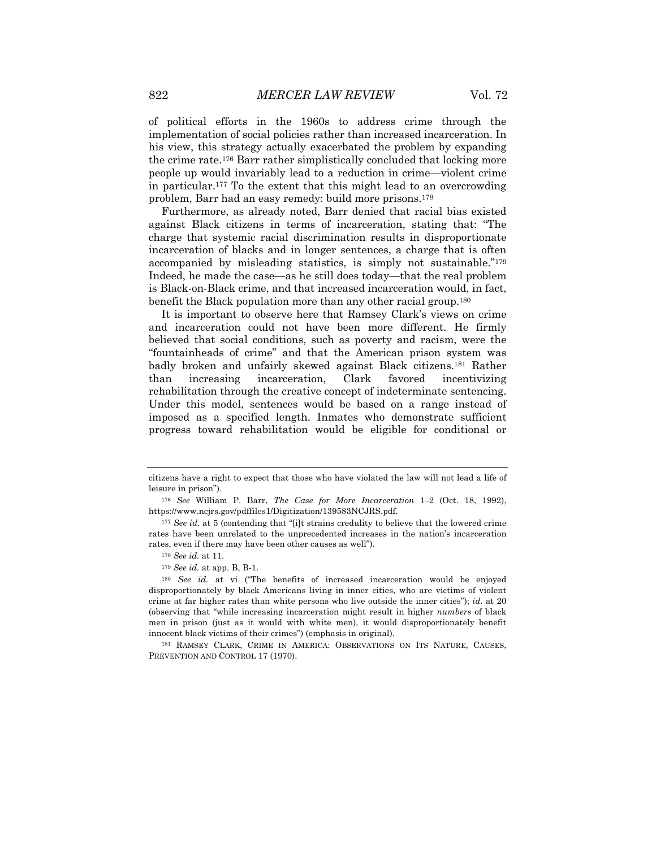of political efforts in the 1960s to address crime through the implementation of social policies rather than increased incarceration. In his view, this strategy actually exacerbated the problem by expanding the crime rate.176 Barr rather simplistically concluded that locking more people up would invariably lead to a reduction in crime—violent crime in particular.177 To the extent that this might lead to an overcrowding problem, Barr had an easy remedy: build more prisons.178

Furthermore, as already noted, Barr denied that racial bias existed against Black citizens in terms of incarceration, stating that: "The charge that systemic racial discrimination results in disproportionate incarceration of blacks and in longer sentences, a charge that is often accompanied by misleading statistics, is simply not sustainable."179 Indeed, he made the case—as he still does today—that the real problem is Black-on-Black crime, and that increased incarceration would, in fact, benefit the Black population more than any other racial group.180

It is important to observe here that Ramsey Clark's views on crime and incarceration could not have been more different. He firmly believed that social conditions, such as poverty and racism, were the "fountainheads of crime" and that the American prison system was badly broken and unfairly skewed against Black citizens.181 Rather than increasing incarceration, Clark favored incentivizing rehabilitation through the creative concept of indeterminate sentencing. Under this model, sentences would be based on a range instead of imposed as a specified length. Inmates who demonstrate sufficient progress toward rehabilitation would be eligible for conditional or

citizens have a right to expect that those who have violated the law will not lead a life of leisure in prison").

<sup>176</sup> *See* William P. Barr, *The Case for More Incarceration* 1‒2 (Oct. 18, 1992), https://www.ncjrs.gov/pdffiles1/Digitization/139583NCJRS.pdf.

<sup>&</sup>lt;sup>177</sup> *See id.* at 5 (contending that "[i]t strains credulity to believe that the lowered crime rates have been unrelated to the unprecedented increases in the nation's incarceration rates, even if there may have been other causes as well").

<sup>178</sup> *See id.* at 11.

<sup>179</sup> *See id.* at app. B, B-1.

<sup>180</sup> *See id.* at vi ("The benefits of increased incarceration would be enjoyed disproportionately by black Americans living in inner cities, who are victims of violent crime at far higher rates than white persons who live outside the inner cities"); *id.* at 20 (observing that "while increasing incarceration might result in higher *numbers* of black men in prison (just as it would with white men), it would disproportionately benefit innocent black victims of their crimes") (emphasis in original).

<sup>181</sup> RAMSEY CLARK, CRIME IN AMERICA: OBSERVATIONS ON ITS NATURE, CAUSES, PREVENTION AND CONTROL 17 (1970).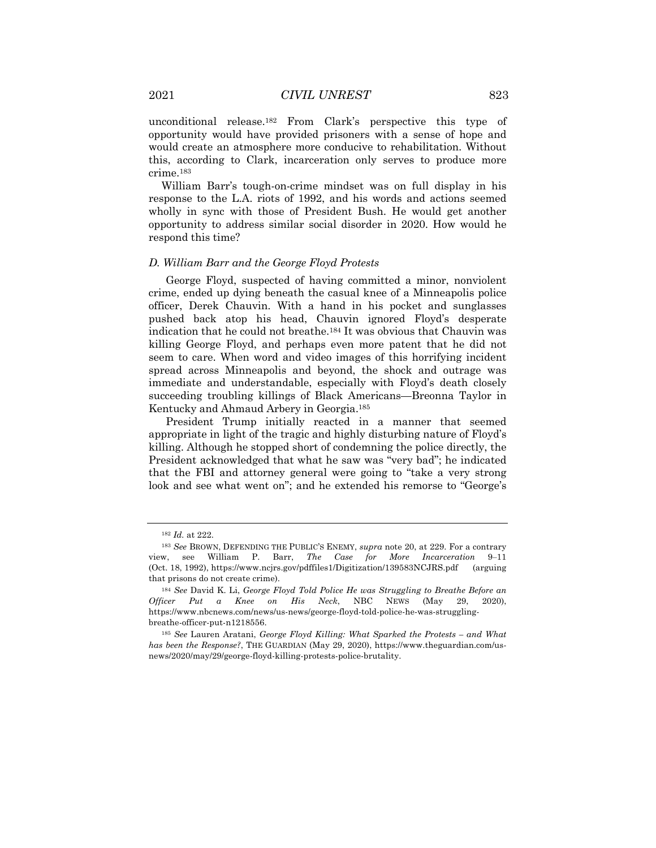unconditional release.182 From Clark's perspective this type of opportunity would have provided prisoners with a sense of hope and would create an atmosphere more conducive to rehabilitation. Without this, according to Clark, incarceration only serves to produce more crime.183

William Barr's tough-on-crime mindset was on full display in his response to the L.A. riots of 1992, and his words and actions seemed wholly in sync with those of President Bush. He would get another opportunity to address similar social disorder in 2020. How would he respond this time?

#### *D. William Barr and the George Floyd Protests*

George Floyd, suspected of having committed a minor, nonviolent crime, ended up dying beneath the casual knee of a Minneapolis police officer, Derek Chauvin. With a hand in his pocket and sunglasses pushed back atop his head, Chauvin ignored Floyd's desperate indication that he could not breathe.184 It was obvious that Chauvin was killing George Floyd, and perhaps even more patent that he did not seem to care. When word and video images of this horrifying incident spread across Minneapolis and beyond, the shock and outrage was immediate and understandable, especially with Floyd's death closely succeeding troubling killings of Black Americans—Breonna Taylor in Kentucky and Ahmaud Arbery in Georgia.185

President Trump initially reacted in a manner that seemed appropriate in light of the tragic and highly disturbing nature of Floyd's killing. Although he stopped short of condemning the police directly, the President acknowledged that what he saw was "very bad"; he indicated that the FBI and attorney general were going to "take a very strong look and see what went on"; and he extended his remorse to "George's

<sup>182</sup> *Id.* at 222.

<sup>183</sup> *See* BROWN, DEFENDING THE PUBLIC'S ENEMY, *supra* note 20, at 229. For a contrary view, see William P. Barr, *The Case for More Incarceration* 9–11 (Oct. 18, 1992), https://www.ncjrs.gov/pdffiles1/Digitization/139583NCJRS.pdf (arguing that prisons do not create crime).

<sup>184</sup> *See* David K. Li, *George Floyd Told Police He was Struggling to Breathe Before an Officer Put a Knee on His Neck*, NBC NEWS (May 29, 2020), https://www.nbcnews.com/news/us-news/george-floyd-told-police-he-was-strugglingbreathe-officer-put-n1218556.

<sup>185</sup> *See* Lauren Aratani, *George Floyd Killing: What Sparked the Protests – and What has been the Response?*, THE GUARDIAN (May 29, 2020), https://www.theguardian.com/usnews/2020/may/29/george-floyd-killing-protests-police-brutality.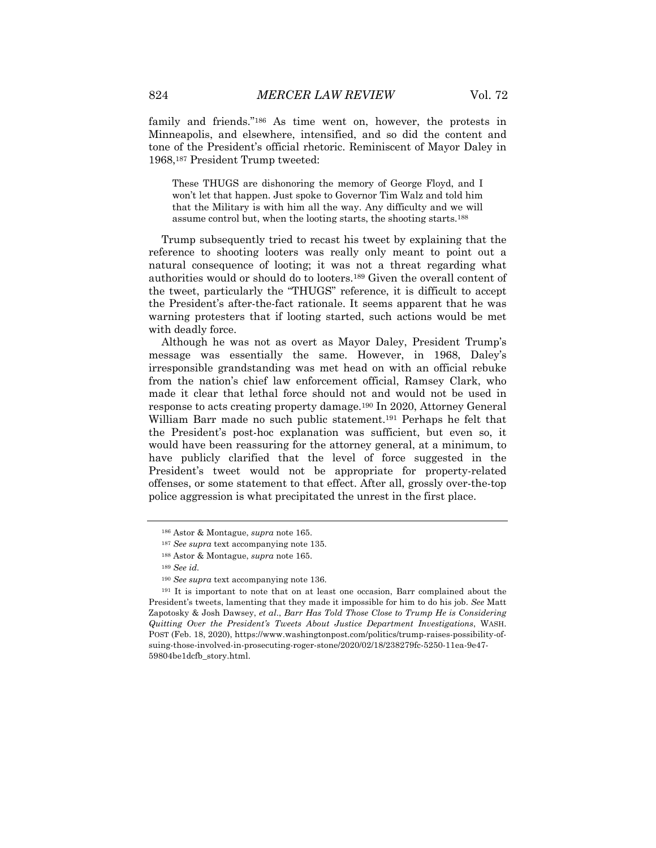family and friends."186 As time went on, however, the protests in Minneapolis, and elsewhere, intensified, and so did the content and tone of the President's official rhetoric. Reminiscent of Mayor Daley in 1968,187 President Trump tweeted:

These THUGS are dishonoring the memory of George Floyd, and I won't let that happen. Just spoke to Governor Tim Walz and told him that the Military is with him all the way. Any difficulty and we will assume control but, when the looting starts, the shooting starts.188

Trump subsequently tried to recast his tweet by explaining that the reference to shooting looters was really only meant to point out a natural consequence of looting; it was not a threat regarding what authorities would or should do to looters.189 Given the overall content of the tweet, particularly the "THUGS" reference, it is difficult to accept the President's after-the-fact rationale. It seems apparent that he was warning protesters that if looting started, such actions would be met with deadly force.

Although he was not as overt as Mayor Daley, President Trump's message was essentially the same. However, in 1968, Daley's irresponsible grandstanding was met head on with an official rebuke from the nation's chief law enforcement official, Ramsey Clark, who made it clear that lethal force should not and would not be used in response to acts creating property damage.190 In 2020, Attorney General William Barr made no such public statement.191 Perhaps he felt that the President's post-hoc explanation was sufficient, but even so, it would have been reassuring for the attorney general, at a minimum, to have publicly clarified that the level of force suggested in the President's tweet would not be appropriate for property-related offenses, or some statement to that effect. After all, grossly over-the-top police aggression is what precipitated the unrest in the first place.

<sup>186</sup> Astor & Montague, *supra* note 165.

<sup>187</sup> *See supra* text accompanying note 135.

<sup>188</sup> Astor & Montague, *supra* note 165.

<sup>189</sup> *See id.*

<sup>190</sup> *See supra* text accompanying note 136.

<sup>191</sup> It is important to note that on at least one occasion, Barr complained about the President's tweets, lamenting that they made it impossible for him to do his job. *See* Matt Zapotosky & Josh Dawsey, *et al*., *Barr Has Told Those Close to Trump He is Considering Quitting Over the President's Tweets About Justice Department Investigations*, WASH. POST (Feb. 18, 2020), https://www.washingtonpost.com/politics/trump-raises-possibility-ofsuing-those-involved-in-prosecuting-roger-stone/2020/02/18/238279fc-5250-11ea-9e47- 59804be1dcfb\_story.html.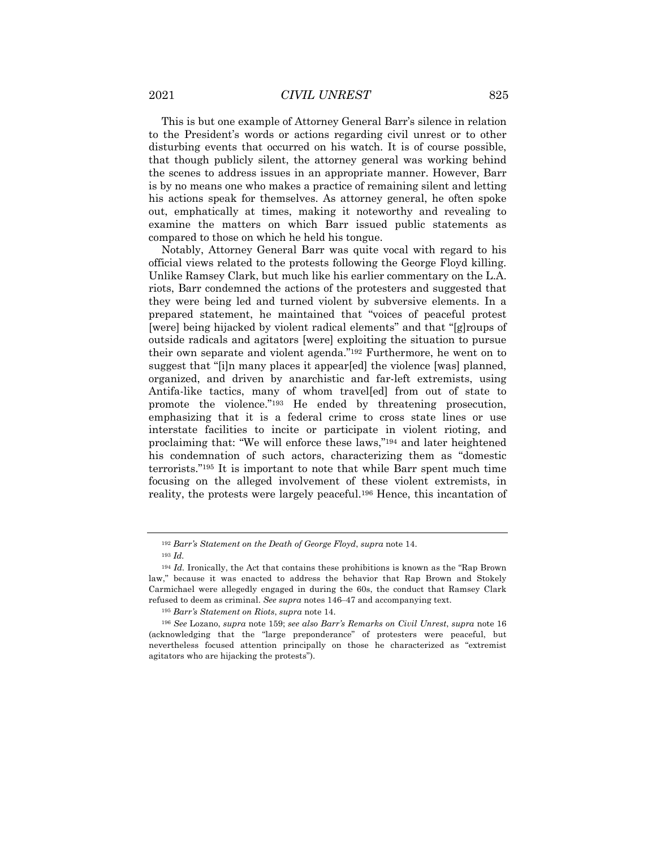This is but one example of Attorney General Barr's silence in relation to the President's words or actions regarding civil unrest or to other disturbing events that occurred on his watch. It is of course possible, that though publicly silent, the attorney general was working behind the scenes to address issues in an appropriate manner. However, Barr is by no means one who makes a practice of remaining silent and letting his actions speak for themselves. As attorney general, he often spoke out, emphatically at times, making it noteworthy and revealing to examine the matters on which Barr issued public statements as compared to those on which he held his tongue.

Notably, Attorney General Barr was quite vocal with regard to his official views related to the protests following the George Floyd killing. Unlike Ramsey Clark, but much like his earlier commentary on the L.A. riots, Barr condemned the actions of the protesters and suggested that they were being led and turned violent by subversive elements. In a prepared statement, he maintained that "voices of peaceful protest [were] being hijacked by violent radical elements" and that "[g]roups of outside radicals and agitators [were] exploiting the situation to pursue their own separate and violent agenda."192 Furthermore, he went on to suggest that "[i]n many places it appear[ed] the violence [was] planned, organized, and driven by anarchistic and far-left extremists, using Antifa-like tactics, many of whom travel[ed] from out of state to promote the violence."193 He ended by threatening prosecution, emphasizing that it is a federal crime to cross state lines or use interstate facilities to incite or participate in violent rioting, and proclaiming that: "We will enforce these laws,"194 and later heightened his condemnation of such actors, characterizing them as "domestic terrorists."195 It is important to note that while Barr spent much time focusing on the alleged involvement of these violent extremists, in reality, the protests were largely peaceful.196 Hence, this incantation of

<sup>192</sup> *Barr's Statement on the Death of George Floyd*, *supra* note 14.

<sup>193</sup> *Id.*

<sup>194</sup> *Id.* Ironically, the Act that contains these prohibitions is known as the "Rap Brown law," because it was enacted to address the behavior that Rap Brown and Stokely Carmichael were allegedly engaged in during the 60s, the conduct that Ramsey Clark refused to deem as criminal. *See supra* notes 146-47 and accompanying text.

<sup>195</sup> *Barr's Statement on Riots*, *supra* note 14.

<sup>196</sup> *See* Lozano, *supra* note 159; *see also Barr's Remarks on Civil Unrest*, *supra* note 16 (acknowledging that the "large preponderance" of protesters were peaceful, but nevertheless focused attention principally on those he characterized as "extremist agitators who are hijacking the protests").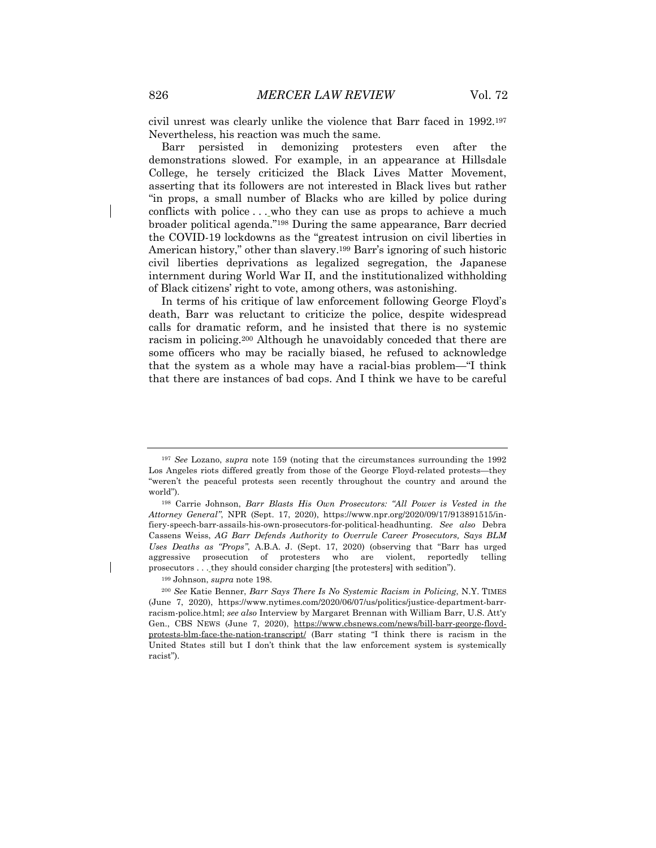civil unrest was clearly unlike the violence that Barr faced in 1992.197 Nevertheless, his reaction was much the same.

Barr persisted in demonizing protesters even after the demonstrations slowed. For example, in an appearance at Hillsdale College, he tersely criticized the Black Lives Matter Movement, asserting that its followers are not interested in Black lives but rather "in props, a small number of Blacks who are killed by police during conflicts with police . . . who they can use as props to achieve a much broader political agenda."198 During the same appearance, Barr decried the COVID-19 lockdowns as the "greatest intrusion on civil liberties in American history," other than slavery.199 Barr's ignoring of such historic civil liberties deprivations as legalized segregation, the Japanese internment during World War II, and the institutionalized withholding of Black citizens' right to vote, among others, was astonishing.

In terms of his critique of law enforcement following George Floyd's death, Barr was reluctant to criticize the police, despite widespread calls for dramatic reform, and he insisted that there is no systemic racism in policing.200 Although he unavoidably conceded that there are some officers who may be racially biased, he refused to acknowledge that the system as a whole may have a racial-bias problem—"I think that there are instances of bad cops. And I think we have to be careful

<sup>197</sup> *See* Lozano, *supra* note 159 (noting that the circumstances surrounding the 1992 Los Angeles riots differed greatly from those of the George Floyd-related protests—they "weren't the peaceful protests seen recently throughout the country and around the world").

<sup>198</sup> Carrie Johnson, *Barr Blasts His Own Prosecutors: "All Power is Vested in the Attorney General"*, NPR (Sept. 17, 2020), https://www.npr.org/2020/09/17/913891515/infiery-speech-barr-assails-his-own-prosecutors-for-political-headhunting. *See also* Debra Cassens Weiss, *AG Barr Defends Authority to Overrule Career Prosecutors, Says BLM Uses Deaths as "Props"*, A.B.A. J. (Sept. 17, 2020) (observing that "Barr has urged aggressive prosecution of protesters who are violent, reportedly telling prosecutors . . . they should consider charging [the protesters] with sedition").

<sup>199</sup> Johnson, *supra* note 198.

<sup>200</sup> *See* Katie Benner, *Barr Says There Is No Systemic Racism in Policing*, N.Y. TIMES (June 7, 2020), https://www.nytimes.com/2020/06/07/us/politics/justice-department-barrracism-police.html; *see also* Interview by Margaret Brennan with William Barr, U.S. Att'y Gen., CBS NEWS (June 7, 2020), https://www.cbsnews.com/news/bill-barr-george-floydprotests-blm-face-the-nation-transcript/ (Barr stating "I think there is racism in the United States still but I don't think that the law enforcement system is systemically racist").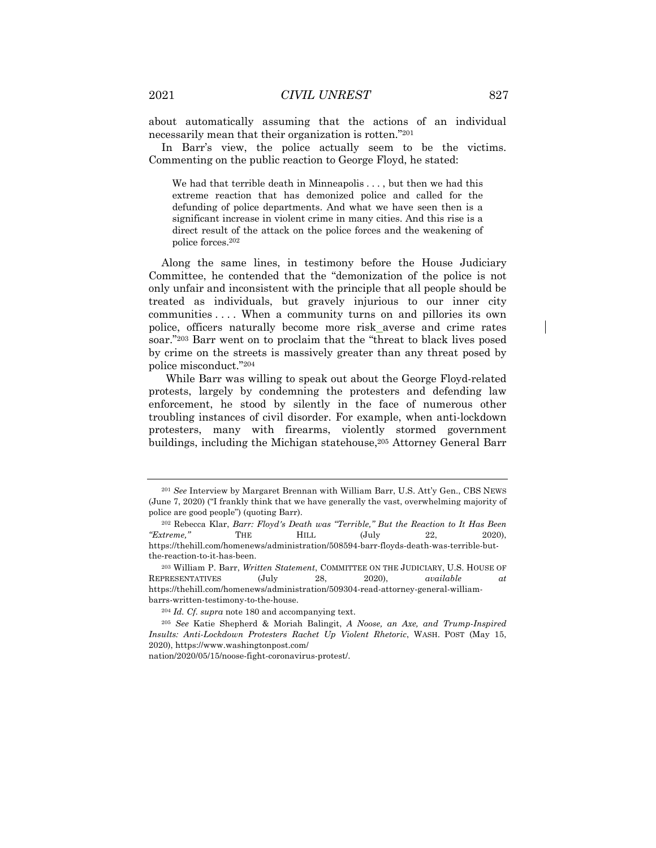about automatically assuming that the actions of an individual necessarily mean that their organization is rotten."201

In Barr's view, the police actually seem to be the victims. Commenting on the public reaction to George Floyd, he stated:

We had that terrible death in Minneapolis . . . , but then we had this extreme reaction that has demonized police and called for the defunding of police departments. And what we have seen then is a significant increase in violent crime in many cities. And this rise is a direct result of the attack on the police forces and the weakening of police forces.202

Along the same lines, in testimony before the House Judiciary Committee, he contended that the "demonization of the police is not only unfair and inconsistent with the principle that all people should be treated as individuals, but gravely injurious to our inner city communities . . . . When a community turns on and pillories its own police, officers naturally become more risk averse and crime rates soar."203 Barr went on to proclaim that the "threat to black lives posed by crime on the streets is massively greater than any threat posed by police misconduct."204

While Barr was willing to speak out about the George Floyd-related protests, largely by condemning the protesters and defending law enforcement, he stood by silently in the face of numerous other troubling instances of civil disorder. For example, when anti-lockdown protesters, many with firearms, violently stormed government buildings, including the Michigan statehouse,205 Attorney General Barr

<sup>201</sup> *See* Interview by Margaret Brennan with William Barr, U.S. Att'y Gen., CBS NEWS (June 7, 2020) ("I frankly think that we have generally the vast, overwhelming majority of police are good people") (quoting Barr).

<sup>202</sup> Rebecca Klar, *Barr: Floyd's Death was "Terrible," But the Reaction to It Has Been "Extreme,"* THE HILL (July 22, 2020), https://thehill.com/homenews/administration/508594-barr-floyds-death-was-terrible-butthe-reaction-to-it-has-been.

<sup>203</sup> William P. Barr, *Written Statement*, COMMITTEE ON THE JUDICIARY, U.S. HOUSE OF REPRESENTATIVES (July 28, 2020), *available at* https://thehill.com/homenews/administration/509304-read-attorney-general-williambarrs-written-testimony-to-the-house.

<sup>204</sup> *Id. Cf. supra* note 180 and accompanying text.

<sup>205</sup> *See* Katie Shepherd & Moriah Balingit, *A Noose, an Axe, and Trump-Inspired Insults: Anti-Lockdown Protesters Rachet Up Violent Rhetoric*, WASH. POST (May 15, 2020), https://www.washingtonpost.com/

nation/2020/05/15/noose-fight-coronavirus-protest/.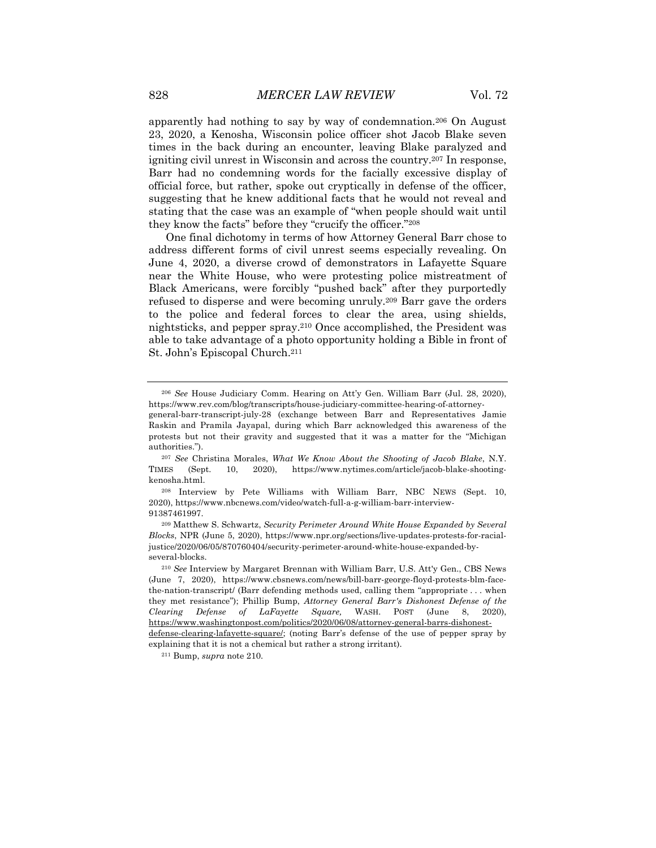apparently had nothing to say by way of condemnation.206 On August 23, 2020, a Kenosha, Wisconsin police officer shot Jacob Blake seven times in the back during an encounter, leaving Blake paralyzed and igniting civil unrest in Wisconsin and across the country.207 In response, Barr had no condemning words for the facially excessive display of official force, but rather, spoke out cryptically in defense of the officer, suggesting that he knew additional facts that he would not reveal and stating that the case was an example of "when people should wait until they know the facts" before they "crucify the officer."208

One final dichotomy in terms of how Attorney General Barr chose to address different forms of civil unrest seems especially revealing. On June 4, 2020, a diverse crowd of demonstrators in Lafayette Square near the White House, who were protesting police mistreatment of Black Americans, were forcibly "pushed back" after they purportedly refused to disperse and were becoming unruly.209 Barr gave the orders to the police and federal forces to clear the area, using shields, nightsticks, and pepper spray.210 Once accomplished, the President was able to take advantage of a photo opportunity holding a Bible in front of St. John's Episcopal Church.211

<sup>206</sup> *See* House Judiciary Comm. Hearing on Att'y Gen. William Barr (Jul. 28, 2020), https://www.rev.com/blog/transcripts/house-judiciary-committee-hearing-of-attorney-

general-barr-transcript-july-28 (exchange between Barr and Representatives Jamie Raskin and Pramila Jayapal, during which Barr acknowledged this awareness of the protests but not their gravity and suggested that it was a matter for the "Michigan authorities.").

<sup>207</sup> *See* Christina Morales, *What We Know About the Shooting of Jacob Blake*, N.Y. TIMES (Sept. 10, 2020), https://www.nytimes.com/article/jacob-blake-shootingkenosha.html.

<sup>208</sup> Interview by Pete Williams with William Barr, NBC NEWS (Sept. 10, 2020), https://www.nbcnews.com/video/watch-full-a-g-william-barr-interview-91387461997.

<sup>209</sup> Matthew S. Schwartz, *Security Perimeter Around White House Expanded by Several Blocks*, NPR (June 5, 2020), https://www.npr.org/sections/live-updates-protests-for-racialjustice/2020/06/05/870760404/security-perimeter-around-white-house-expanded-byseveral-blocks.

<sup>210</sup> *See* Interview by Margaret Brennan with William Barr, U.S. Att'y Gen., CBS News (June 7, 2020), https://www.cbsnews.com/news/bill-barr-george-floyd-protests-blm-facethe-nation-transcript/ (Barr defending methods used, calling them "appropriate . . . when they met resistance"); Phillip Bump, *Attorney General Barr's Dishonest Defense of the Clearing Defense of LaFayette Square,* WASH. POST (June 8, 2020), https://www.washingtonpost.com/politics/2020/06/08/attorney-general-barrs-dishonestdefense-clearing-lafayette-square/; (noting Barr's defense of the use of pepper spray by

explaining that it is not a chemical but rather a strong irritant).

<sup>211</sup> Bump, *supra* note 210.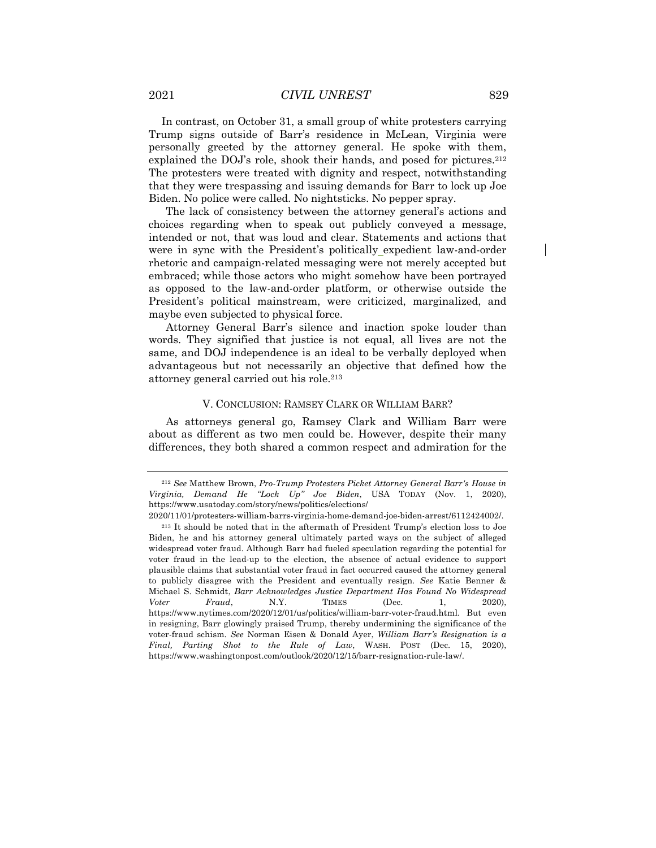In contrast, on October 31, a small group of white protesters carrying Trump signs outside of Barr's residence in McLean, Virginia were personally greeted by the attorney general. He spoke with them, explained the DOJ's role, shook their hands, and posed for pictures.212 The protesters were treated with dignity and respect, notwithstanding that they were trespassing and issuing demands for Barr to lock up Joe Biden. No police were called. No nightsticks. No pepper spray.

The lack of consistency between the attorney general's actions and choices regarding when to speak out publicly conveyed a message, intended or not, that was loud and clear. Statements and actions that were in sync with the President's politically expedient law-and-order rhetoric and campaign-related messaging were not merely accepted but embraced; while those actors who might somehow have been portrayed as opposed to the law-and-order platform, or otherwise outside the President's political mainstream, were criticized, marginalized, and maybe even subjected to physical force.

Attorney General Barr's silence and inaction spoke louder than words. They signified that justice is not equal, all lives are not the same, and DOJ independence is an ideal to be verbally deployed when advantageous but not necessarily an objective that defined how the attorney general carried out his role.213

#### V. CONCLUSION: RAMSEY CLARK OR WILLIAM BARR?

As attorneys general go, Ramsey Clark and William Barr were about as different as two men could be. However, despite their many differences, they both shared a common respect and admiration for the

<sup>212</sup> *See* Matthew Brown, *Pro-Trump Protesters Picket Attorney General Barr's House in Virginia, Demand He "Lock Up" Joe Biden*, USA TODAY (Nov. 1, 2020), https://www.usatoday.com/story/news/politics/elections/

<sup>2020/11/01/</sup>protesters-william-barrs-virginia-home-demand-joe-biden-arrest/6112424002/.

<sup>213</sup> It should be noted that in the aftermath of President Trump's election loss to Joe Biden, he and his attorney general ultimately parted ways on the subject of alleged widespread voter fraud. Although Barr had fueled speculation regarding the potential for voter fraud in the lead-up to the election, the absence of actual evidence to support plausible claims that substantial voter fraud in fact occurred caused the attorney general to publicly disagree with the President and eventually resign*. See* Katie Benner & Michael S. Schmidt, *Barr Acknowledges Justice Department Has Found No Widespread Voter Fraud*, N.Y. TIMES (Dec. 1, 2020), https://www.nytimes.com/2020/12/01/us/politics/william-barr-voter-fraud.html. But even in resigning, Barr glowingly praised Trump, thereby undermining the significance of the voter-fraud schism. *See* Norman Eisen & Donald Ayer, *William Barr's Resignation is a Final, Parting Shot to the Rule of Law*, WASH. POST (Dec. 15, 2020), https://www.washingtonpost.com/outlook/2020/12/15/barr-resignation-rule-law/.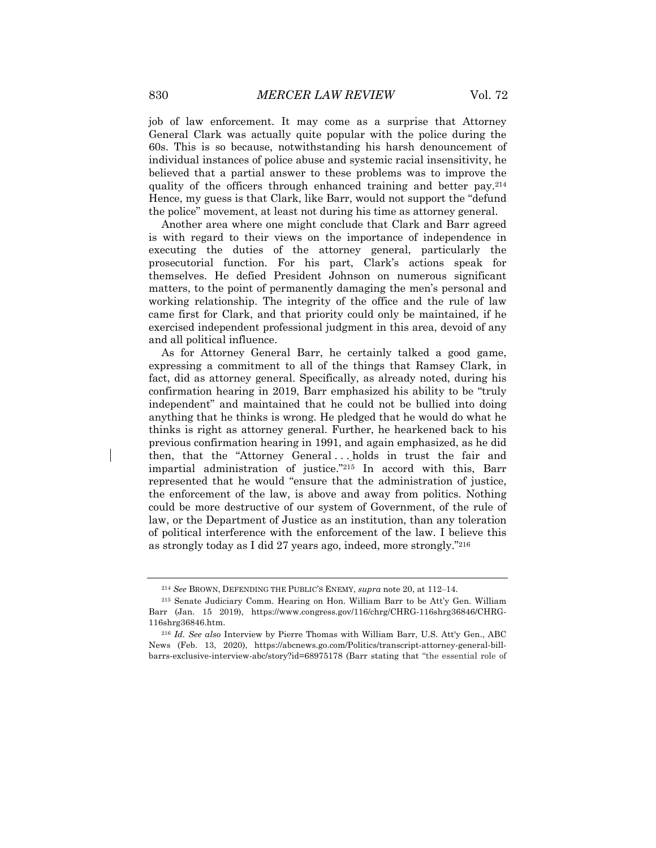job of law enforcement. It may come as a surprise that Attorney General Clark was actually quite popular with the police during the 60s. This is so because, notwithstanding his harsh denouncement of individual instances of police abuse and systemic racial insensitivity, he believed that a partial answer to these problems was to improve the quality of the officers through enhanced training and better pay.214 Hence, my guess is that Clark, like Barr, would not support the "defund the police" movement, at least not during his time as attorney general.

Another area where one might conclude that Clark and Barr agreed is with regard to their views on the importance of independence in executing the duties of the attorney general, particularly the prosecutorial function. For his part, Clark's actions speak for themselves. He defied President Johnson on numerous significant matters, to the point of permanently damaging the men's personal and working relationship. The integrity of the office and the rule of law came first for Clark, and that priority could only be maintained, if he exercised independent professional judgment in this area, devoid of any and all political influence.

As for Attorney General Barr, he certainly talked a good game, expressing a commitment to all of the things that Ramsey Clark, in fact, did as attorney general. Specifically, as already noted, during his confirmation hearing in 2019, Barr emphasized his ability to be "truly independent" and maintained that he could not be bullied into doing anything that he thinks is wrong. He pledged that he would do what he thinks is right as attorney general. Further, he hearkened back to his previous confirmation hearing in 1991, and again emphasized, as he did then, that the "Attorney General . . . holds in trust the fair and impartial administration of justice."215 In accord with this, Barr represented that he would "ensure that the administration of justice, the enforcement of the law, is above and away from politics. Nothing could be more destructive of our system of Government, of the rule of law, or the Department of Justice as an institution, than any toleration of political interference with the enforcement of the law. I believe this as strongly today as I did 27 years ago, indeed, more strongly."216

<sup>&</sup>lt;sup>214</sup> See BROWN, DEFENDING THE PUBLIC'S ENEMY, *supra* note 20, at 112-14.

<sup>215</sup> Senate Judiciary Comm. Hearing on Hon. William Barr to be Att'y Gen. William Barr (Jan. 15 2019), https://www.congress.gov/116/chrg/CHRG-116shrg36846/CHRG-116shrg36846.htm.

<sup>216</sup> *Id. See also* Interview by Pierre Thomas with William Barr, U.S. Att'y Gen., ABC News (Feb. 13, 2020), https://abcnews.go.com/Politics/transcript-attorney-general-billbarrs-exclusive-interview-abc/story?id=68975178 (Barr stating that "the essential role of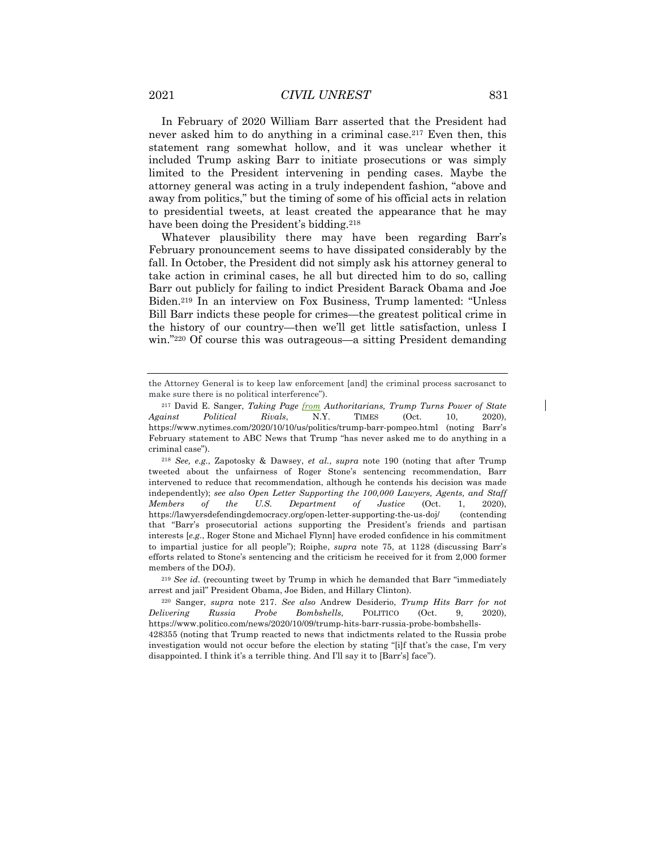In February of 2020 William Barr asserted that the President had never asked him to do anything in a criminal case.<sup>217</sup> Even then, this statement rang somewhat hollow, and it was unclear whether it included Trump asking Barr to initiate prosecutions or was simply limited to the President intervening in pending cases. Maybe the attorney general was acting in a truly independent fashion, "above and away from politics," but the timing of some of his official acts in relation to presidential tweets, at least created the appearance that he may have been doing the President's bidding.<sup>218</sup>

Whatever plausibility there may have been regarding Barr's February pronouncement seems to have dissipated considerably by the fall. In October, the President did not simply ask his attorney general to take action in criminal cases, he all but directed him to do so, calling Barr out publicly for failing to indict President Barack Obama and Joe Biden.219 In an interview on Fox Business, Trump lamented: "Unless Bill Barr indicts these people for crimes—the greatest political crime in the history of our country—then we'll get little satisfaction, unless I win."<sup>220</sup> Of course this was outrageous—a sitting President demanding

<sup>219</sup> *See id.* (recounting tweet by Trump in which he demanded that Barr "immediately arrest and jail" President Obama, Joe Biden, and Hillary Clinton).

the Attorney General is to keep law enforcement [and] the criminal process sacrosanct to make sure there is no political interference").

<sup>217</sup> David E. Sanger, *Taking Page from Authoritarians, Trump Turns Power of State Against Political Rivals*, N.Y. TIMES (Oct. 10, 2020), https://www.nytimes.com/2020/10/10/us/politics/trump-barr-pompeo.html (noting Barr's February statement to ABC News that Trump "has never asked me to do anything in a criminal case").

<sup>218</sup> *See, e.g.*, Zapotosky & Dawsey, *et al.*, *supra* note 190 (noting that after Trump tweeted about the unfairness of Roger Stone's sentencing recommendation, Barr intervened to reduce that recommendation, although he contends his decision was made independently); *see also Open Letter Supporting the 100,000 Lawyers, Agents, and Staff Members of the U.S. Department of Justice* (Oct. 1, 2020), https://lawyersdefendingdemocracy.org/open-letter-supporting-the-us-doj/ (contending that "Barr's prosecutorial actions supporting the President's friends and partisan interests [*e.g.*, Roger Stone and Michael Flynn] have eroded confidence in his commitment to impartial justice for all people"); Roiphe, *supra* note 75, at 1128 (discussing Barr's efforts related to Stone's sentencing and the criticism he received for it from 2,000 former members of the DOJ).

<sup>220</sup> Sanger, *supra* note 217. *See also* Andrew Desiderio, *Trump Hits Barr for not Delivering Russia Probe Bombshells*, POLITICO (Oct. 9, 2020), https://www.politico.com/news/2020/10/09/trump-hits-barr-russia-probe-bombshells-

<sup>428355 (</sup>noting that Trump reacted to news that indictments related to the Russia probe investigation would not occur before the election by stating "[i]f that's the case, I'm very disappointed. I think it's a terrible thing. And I'll say it to [Barr's] face").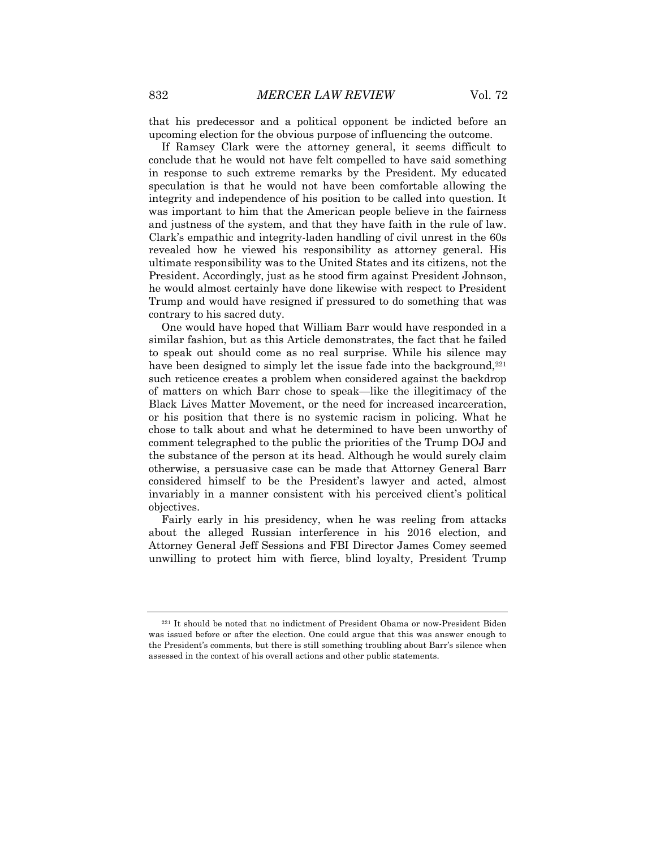that his predecessor and a political opponent be indicted before an upcoming election for the obvious purpose of influencing the outcome.

If Ramsey Clark were the attorney general, it seems difficult to conclude that he would not have felt compelled to have said something in response to such extreme remarks by the President. My educated speculation is that he would not have been comfortable allowing the integrity and independence of his position to be called into question. It was important to him that the American people believe in the fairness and justness of the system, and that they have faith in the rule of law. Clark's empathic and integrity-laden handling of civil unrest in the 60s revealed how he viewed his responsibility as attorney general. His ultimate responsibility was to the United States and its citizens, not the President. Accordingly, just as he stood firm against President Johnson, he would almost certainly have done likewise with respect to President Trump and would have resigned if pressured to do something that was contrary to his sacred duty.

One would have hoped that William Barr would have responded in a similar fashion, but as this Article demonstrates, the fact that he failed to speak out should come as no real surprise. While his silence may have been designed to simply let the issue fade into the background,<sup>221</sup> such reticence creates a problem when considered against the backdrop of matters on which Barr chose to speak—like the illegitimacy of the Black Lives Matter Movement, or the need for increased incarceration, or his position that there is no systemic racism in policing. What he chose to talk about and what he determined to have been unworthy of comment telegraphed to the public the priorities of the Trump DOJ and the substance of the person at its head. Although he would surely claim otherwise, a persuasive case can be made that Attorney General Barr considered himself to be the President's lawyer and acted, almost invariably in a manner consistent with his perceived client's political objectives.

Fairly early in his presidency, when he was reeling from attacks about the alleged Russian interference in his 2016 election, and Attorney General Jeff Sessions and FBI Director James Comey seemed unwilling to protect him with fierce, blind loyalty, President Trump

<sup>221</sup> It should be noted that no indictment of President Obama or now-President Biden was issued before or after the election. One could argue that this was answer enough to the President's comments, but there is still something troubling about Barr's silence when assessed in the context of his overall actions and other public statements.